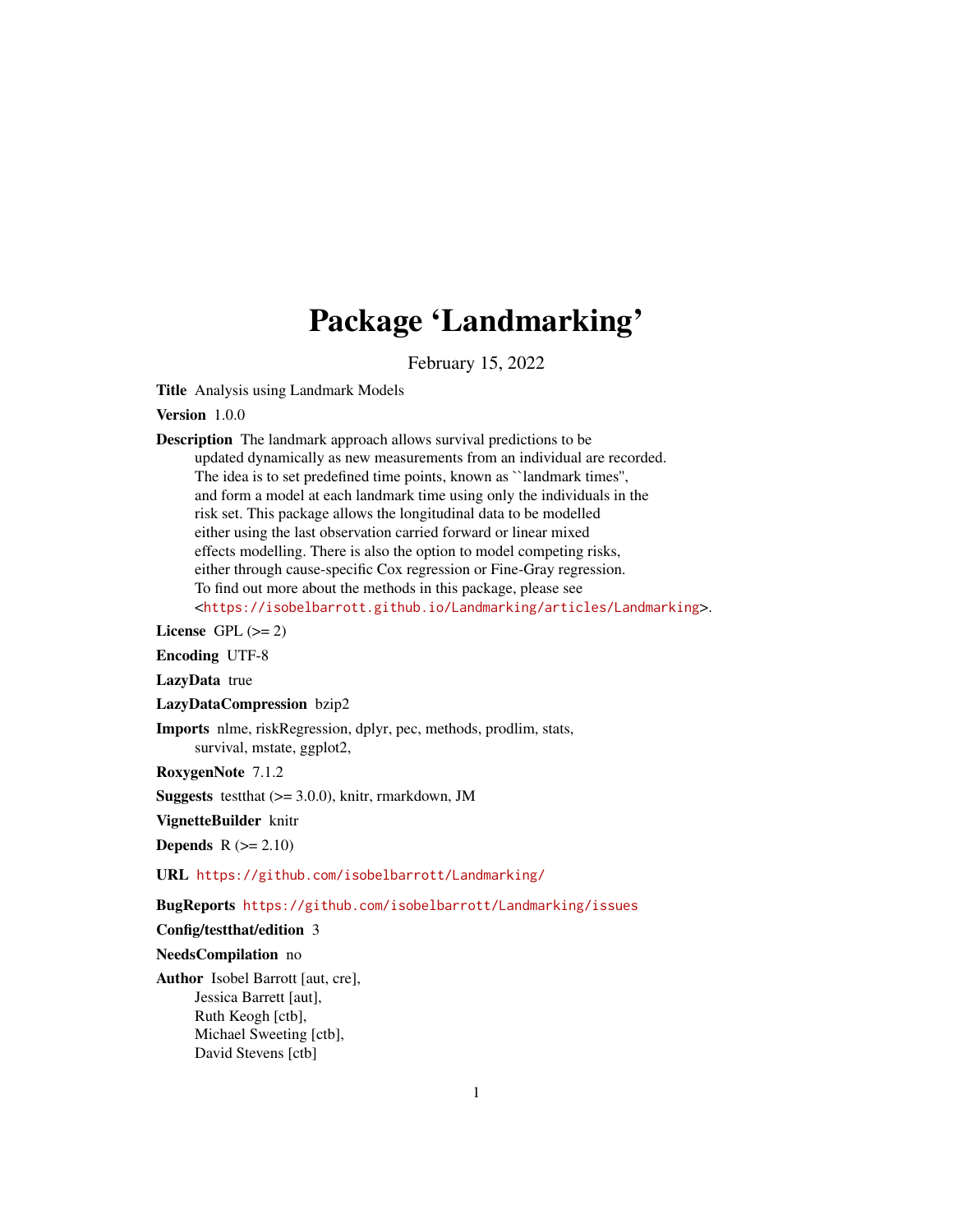# Package 'Landmarking'

February 15, 2022

Title Analysis using Landmark Models

Version 1.0.0

Description The landmark approach allows survival predictions to be updated dynamically as new measurements from an individual are recorded. The idea is to set predefined time points, known as ``landmark times'', and form a model at each landmark time using only the individuals in the risk set. This package allows the longitudinal data to be modelled either using the last observation carried forward or linear mixed effects modelling. There is also the option to model competing risks, either through cause-specific Cox regression or Fine-Gray regression. To find out more about the methods in this package, please see <<https://isobelbarrott.github.io/Landmarking/articles/Landmarking>>.

License GPL  $(>= 2)$ 

Encoding UTF-8

LazyData true

LazyDataCompression bzip2

Imports nlme, riskRegression, dplyr, pec, methods, prodlim, stats, survival, mstate, ggplot2,

RoxygenNote 7.1.2

**Suggests** testthat  $(>= 3.0.0)$ , knitr, rmarkdown, JM

VignetteBuilder knitr

Depends  $R (= 2.10)$ 

URL <https://github.com/isobelbarrott/Landmarking/>

BugReports <https://github.com/isobelbarrott/Landmarking/issues>

#### Config/testthat/edition 3

NeedsCompilation no

Author Isobel Barrott [aut, cre], Jessica Barrett [aut], Ruth Keogh [ctb], Michael Sweeting [ctb], David Stevens [ctb]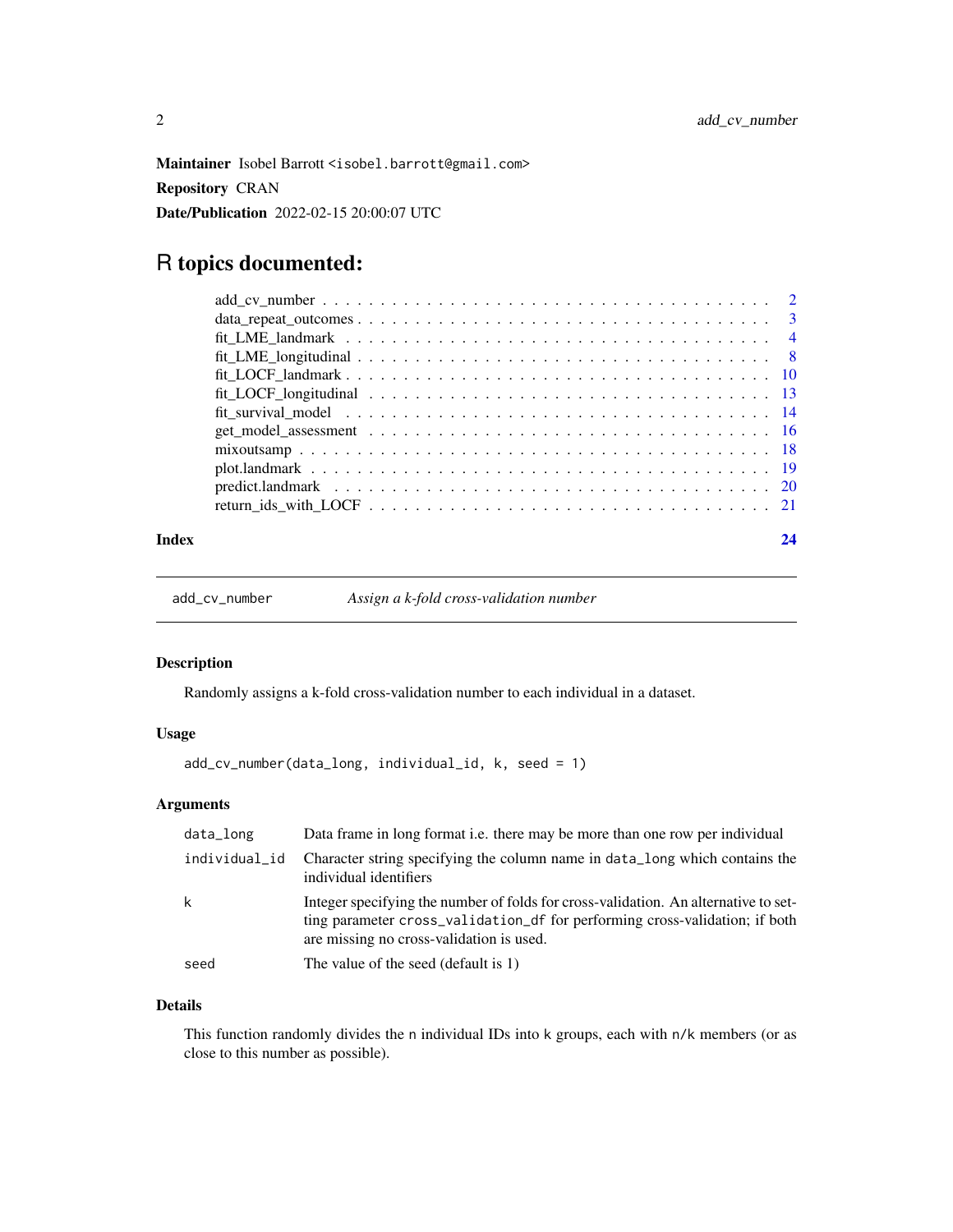<span id="page-1-0"></span>Maintainer Isobel Barrott <isobel.barrott@gmail.com> Repository CRAN Date/Publication 2022-02-15 20:00:07 UTC

## R topics documented:

| Index |  |
|-------|--|

add\_cv\_number *Assign a k-fold cross-validation number*

#### Description

Randomly assigns a k-fold cross-validation number to each individual in a dataset.

#### Usage

```
add_cv_number(data_long, individual_id, k, seed = 1)
```
#### Arguments

| data_long     | Data frame in long format <i>i.e.</i> there may be more than one row per individual                                                                                                                            |
|---------------|----------------------------------------------------------------------------------------------------------------------------------------------------------------------------------------------------------------|
| individual_id | Character string specifying the column name in data_long which contains the<br>individual identifiers                                                                                                          |
| k             | Integer specifying the number of folds for cross-validation. An alternative to set-<br>ting parameter cross_validation_df for performing cross-validation; if both<br>are missing no cross-validation is used. |
| seed          | The value of the seed (default is 1)                                                                                                                                                                           |

#### Details

This function randomly divides the n individual IDs into k groups, each with n/k members (or as close to this number as possible).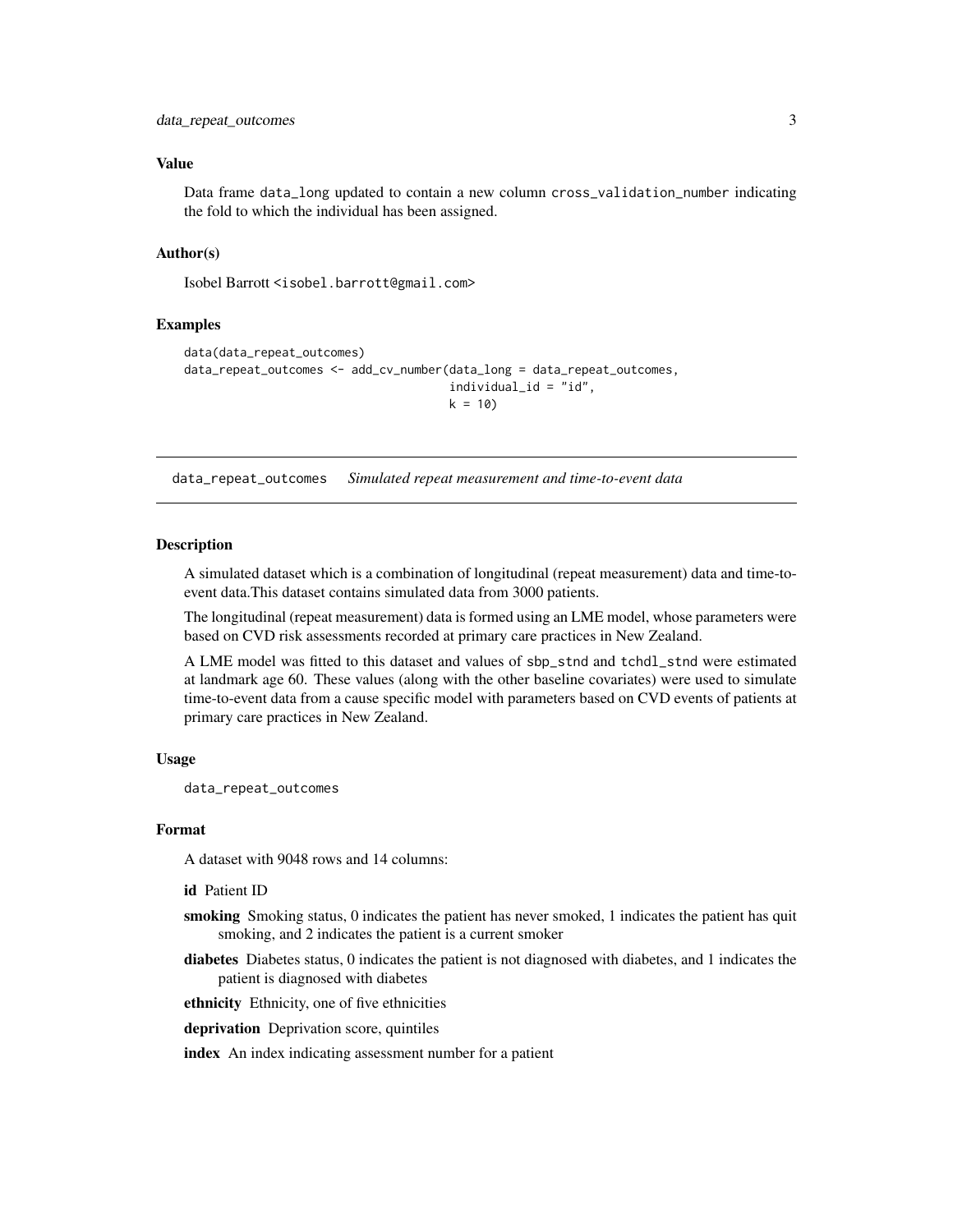#### <span id="page-2-0"></span>Value

Data frame data\_long updated to contain a new column cross\_validation\_number indicating the fold to which the individual has been assigned.

#### Author(s)

Isobel Barrott <isobel.barrott@gmail.com>

#### Examples

```
data(data_repeat_outcomes)
data_repeat_outcomes <- add_cv_number(data_long = data_repeat_outcomes,
                                     individual_id = "id",
                                     k = 10
```
data\_repeat\_outcomes *Simulated repeat measurement and time-to-event data*

#### Description

A simulated dataset which is a combination of longitudinal (repeat measurement) data and time-toevent data.This dataset contains simulated data from 3000 patients.

The longitudinal (repeat measurement) data is formed using an LME model, whose parameters were based on CVD risk assessments recorded at primary care practices in New Zealand.

A LME model was fitted to this dataset and values of sbp\_stnd and tchdl\_stnd were estimated at landmark age 60. These values (along with the other baseline covariates) were used to simulate time-to-event data from a cause specific model with parameters based on CVD events of patients at primary care practices in New Zealand.

#### Usage

data\_repeat\_outcomes

#### Format

A dataset with 9048 rows and 14 columns:

id Patient ID

- smoking Smoking status, 0 indicates the patient has never smoked, 1 indicates the patient has quit smoking, and 2 indicates the patient is a current smoker
- diabetes Diabetes status, 0 indicates the patient is not diagnosed with diabetes, and 1 indicates the patient is diagnosed with diabetes
- ethnicity Ethnicity, one of five ethnicities
- deprivation Deprivation score, quintiles

index An index indicating assessment number for a patient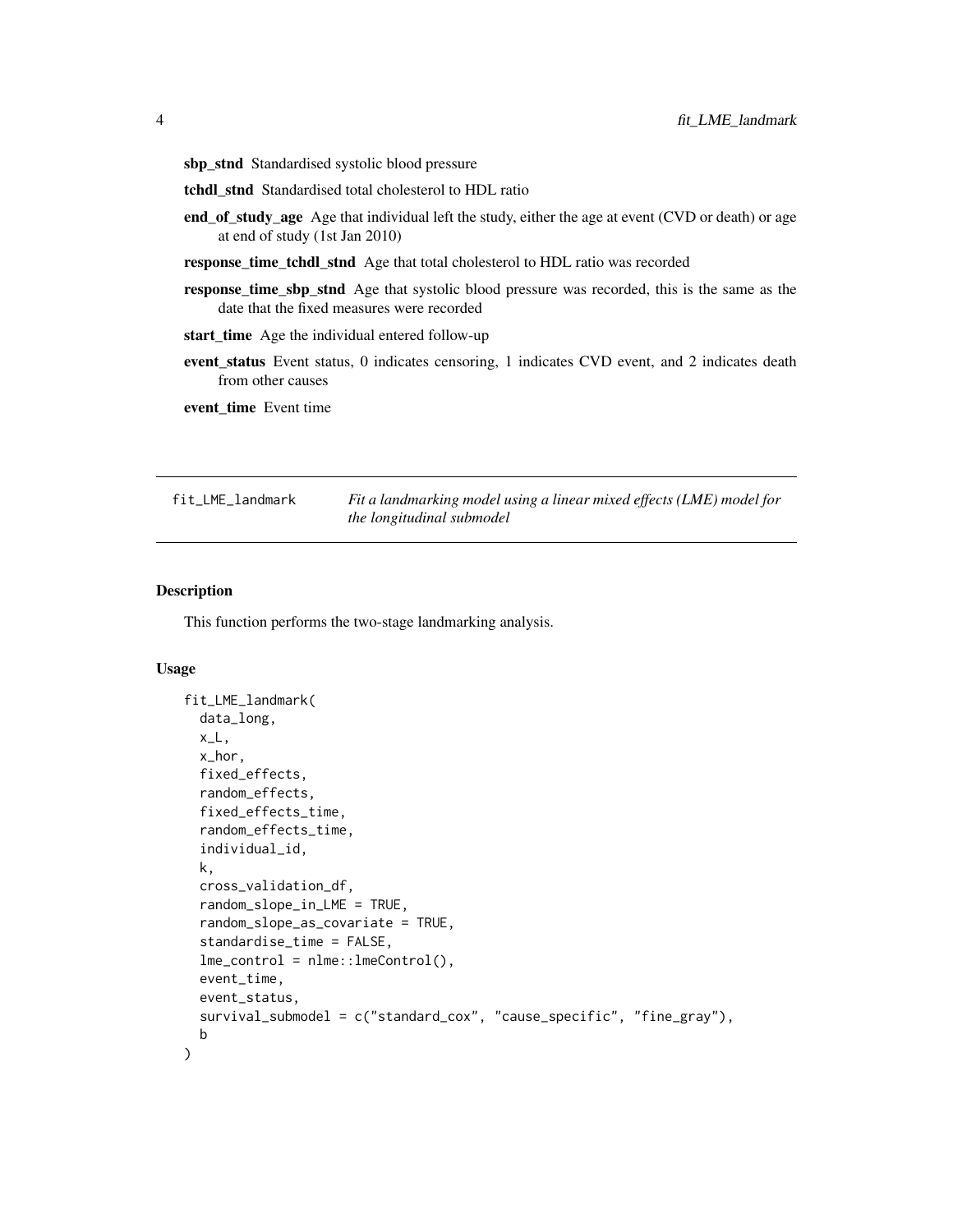- <span id="page-3-0"></span>sbp\_stnd Standardised systolic blood pressure
- tchdl stnd Standardised total cholesterol to HDL ratio
- end\_of\_study\_age Age that individual left the study, either the age at event (CVD or death) or age at end of study (1st Jan 2010)
- response\_time\_tchdl\_stnd Age that total cholesterol to HDL ratio was recorded
- response\_time\_sbp\_stnd Age that systolic blood pressure was recorded, this is the same as the date that the fixed measures were recorded
- start\_time Age the individual entered follow-up
- event\_status Event status, 0 indicates censoring, 1 indicates CVD event, and 2 indicates death from other causes

event\_time Event time

fit\_LME\_landmark *Fit a landmarking model using a linear mixed effects (LME) model for the longitudinal submodel*

#### Description

This function performs the two-stage landmarking analysis.

#### Usage

```
fit_LME_landmark(
  data_long,
  x_L,
  x_hor,
  fixed_effects,
  random_effects,
  fixed_effects_time,
  random_effects_time,
  individual_id,
  k,
  cross_validation_df,
  random_slope_in_LME = TRUE,
  random_slope_as_covariate = TRUE,
  standardise_time = FALSE,
  lme\_control = nlme::lmeControl(),
  event_time,
  event_status,
  survival_submodel = c("standard_cox", "cause_specific", "fine_gray"),
  b
)
```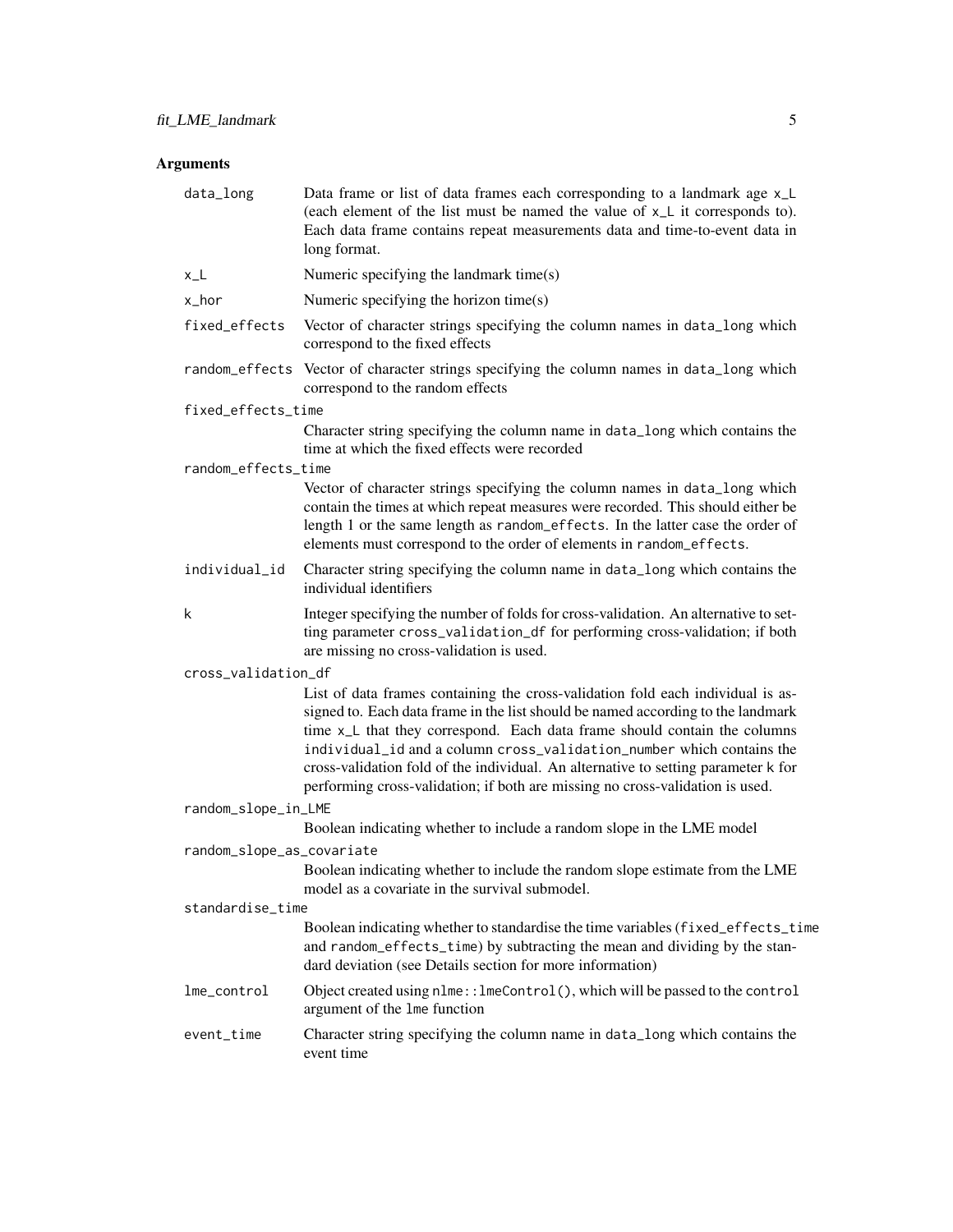| data_long                 | Data frame or list of data frames each corresponding to a landmark age x_L<br>(each element of the list must be named the value of $xl$ it corresponds to).<br>Each data frame contains repeat measurements data and time-to-event data in<br>long format.                                                                                                                                                                                                                                       |  |
|---------------------------|--------------------------------------------------------------------------------------------------------------------------------------------------------------------------------------------------------------------------------------------------------------------------------------------------------------------------------------------------------------------------------------------------------------------------------------------------------------------------------------------------|--|
| $x_L$                     | Numeric specifying the landmark time(s)                                                                                                                                                                                                                                                                                                                                                                                                                                                          |  |
| x_hor                     | Numeric specifying the horizon time(s)                                                                                                                                                                                                                                                                                                                                                                                                                                                           |  |
| fixed_effects             | Vector of character strings specifying the column names in data_long which<br>correspond to the fixed effects                                                                                                                                                                                                                                                                                                                                                                                    |  |
|                           | random_effects Vector of character strings specifying the column names in data_long which<br>correspond to the random effects                                                                                                                                                                                                                                                                                                                                                                    |  |
| fixed_effects_time        |                                                                                                                                                                                                                                                                                                                                                                                                                                                                                                  |  |
|                           | Character string specifying the column name in data_long which contains the<br>time at which the fixed effects were recorded                                                                                                                                                                                                                                                                                                                                                                     |  |
| random_effects_time       | Vector of character strings specifying the column names in data_long which                                                                                                                                                                                                                                                                                                                                                                                                                       |  |
|                           | contain the times at which repeat measures were recorded. This should either be<br>length 1 or the same length as random_effects. In the latter case the order of<br>elements must correspond to the order of elements in random_effects.                                                                                                                                                                                                                                                        |  |
| individual_id             | Character string specifying the column name in data_long which contains the<br>individual identifiers                                                                                                                                                                                                                                                                                                                                                                                            |  |
| k                         | Integer specifying the number of folds for cross-validation. An alternative to set-<br>ting parameter cross_validation_df for performing cross-validation; if both<br>are missing no cross-validation is used.                                                                                                                                                                                                                                                                                   |  |
| cross_validation_df       |                                                                                                                                                                                                                                                                                                                                                                                                                                                                                                  |  |
|                           | List of data frames containing the cross-validation fold each individual is as-<br>signed to. Each data frame in the list should be named according to the landmark<br>time x_L that they correspond. Each data frame should contain the columns<br>individual_id and a column cross_validation_number which contains the<br>cross-validation fold of the individual. An alternative to setting parameter k for<br>performing cross-validation; if both are missing no cross-validation is used. |  |
| random_slope_in_LME       |                                                                                                                                                                                                                                                                                                                                                                                                                                                                                                  |  |
|                           | Boolean indicating whether to include a random slope in the LME model                                                                                                                                                                                                                                                                                                                                                                                                                            |  |
| random_slope_as_covariate | Boolean indicating whether to include the random slope estimate from the LME<br>model as a covariate in the survival submodel.                                                                                                                                                                                                                                                                                                                                                                   |  |
| standardise_time          |                                                                                                                                                                                                                                                                                                                                                                                                                                                                                                  |  |
|                           | Boolean indicating whether to standardise the time variables (fixed_effects_time<br>and random_effects_time) by subtracting the mean and dividing by the stan-<br>dard deviation (see Details section for more information)                                                                                                                                                                                                                                                                      |  |
| lme_control               | Object created using nlme:: lmeControl(), which will be passed to the control<br>argument of the 1me function                                                                                                                                                                                                                                                                                                                                                                                    |  |
| event_time                | Character string specifying the column name in data_long which contains the<br>event time                                                                                                                                                                                                                                                                                                                                                                                                        |  |
|                           |                                                                                                                                                                                                                                                                                                                                                                                                                                                                                                  |  |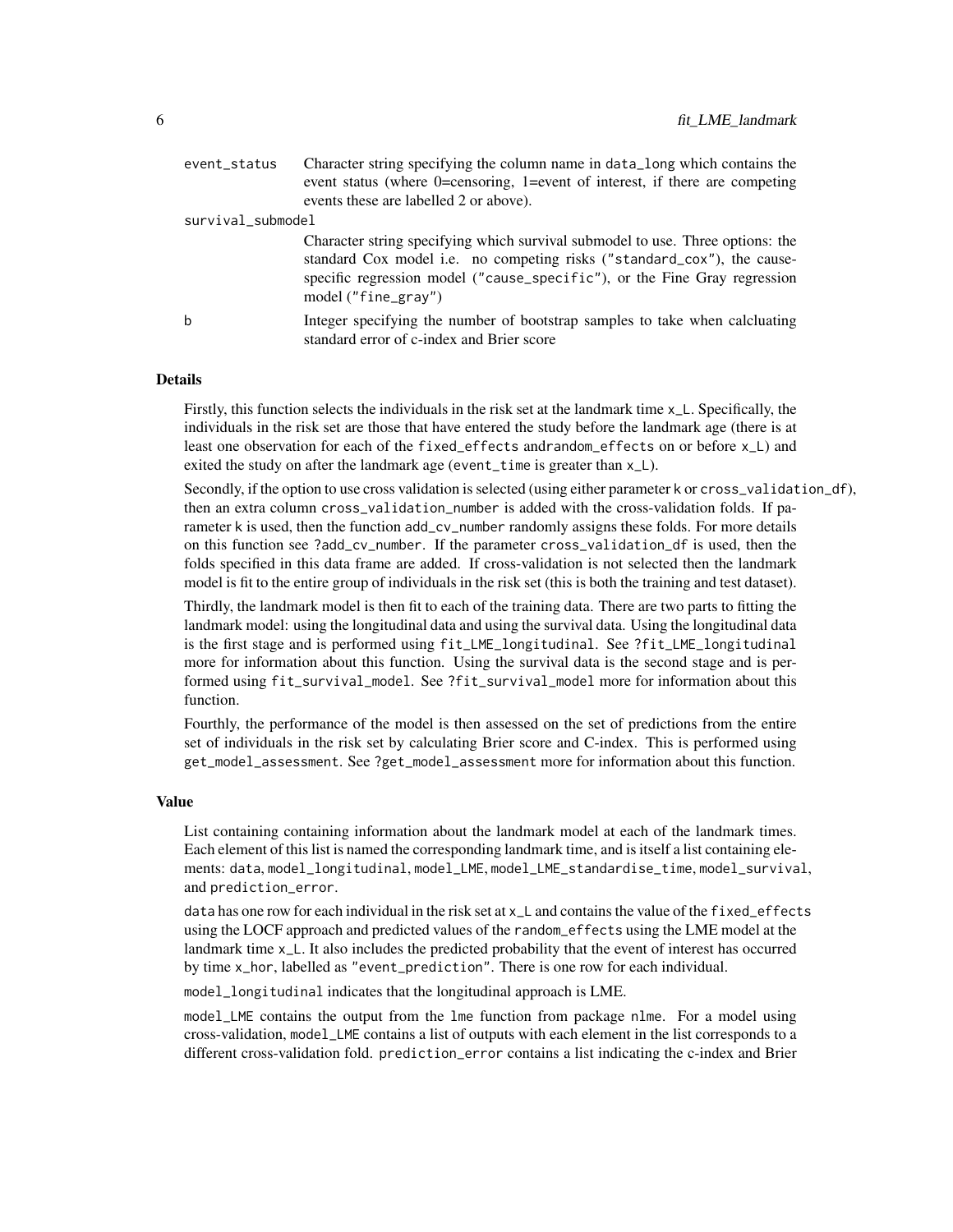| event_status      | Character string specifying the column name in data_long which contains the<br>event status (where 0=censoring, 1=event of interest, if there are competing<br>events these are labelled 2 or above).                                                          |
|-------------------|----------------------------------------------------------------------------------------------------------------------------------------------------------------------------------------------------------------------------------------------------------------|
| survival_submodel |                                                                                                                                                                                                                                                                |
|                   | Character string specifying which survival submodel to use. Three options: the<br>standard Cox model i.e. no competing risks ("standard_cox"), the cause-<br>specific regression model ("cause_specific"), or the Fine Gray regression<br>$model('fine-grav")$ |
| b                 | Integer specifying the number of bootstrap samples to take when calcluating<br>standard error of c-index and Brier score                                                                                                                                       |

#### Details

Firstly, this function selects the individuals in the risk set at the landmark time x\_L. Specifically, the individuals in the risk set are those that have entered the study before the landmark age (there is at least one observation for each of the fixed\_effects andrandom\_effects on or before x\_L) and exited the study on after the landmark age (event\_time is greater than  $x$ <sub>-</sub>L).

Secondly, if the option to use cross validation is selected (using either parameter k or cross\_validation\_df), then an extra column cross\_validation\_number is added with the cross-validation folds. If parameter k is used, then the function add\_cv\_number randomly assigns these folds. For more details on this function see ?add\_cv\_number. If the parameter cross\_validation\_df is used, then the folds specified in this data frame are added. If cross-validation is not selected then the landmark model is fit to the entire group of individuals in the risk set (this is both the training and test dataset).

Thirdly, the landmark model is then fit to each of the training data. There are two parts to fitting the landmark model: using the longitudinal data and using the survival data. Using the longitudinal data is the first stage and is performed using fit\_LME\_longitudinal. See ?fit\_LME\_longitudinal more for information about this function. Using the survival data is the second stage and is performed using fit\_survival\_model. See ?fit\_survival\_model more for information about this function.

Fourthly, the performance of the model is then assessed on the set of predictions from the entire set of individuals in the risk set by calculating Brier score and C-index. This is performed using get\_model\_assessment. See ?get\_model\_assessment more for information about this function.

#### Value

List containing containing information about the landmark model at each of the landmark times. Each element of this list is named the corresponding landmark time, and is itself a list containing elements: data, model\_longitudinal, model\_LME, model\_LME\_standardise\_time, model\_survival, and prediction\_error.

data has one row for each individual in the risk set at x\_L and contains the value of the fixed\_effects using the LOCF approach and predicted values of the random\_effects using the LME model at the landmark time x\_L. It also includes the predicted probability that the event of interest has occurred by time x\_hor, labelled as "event\_prediction". There is one row for each individual.

model\_longitudinal indicates that the longitudinal approach is LME.

model\_LME contains the output from the lme function from package nlme. For a model using cross-validation, model\_LME contains a list of outputs with each element in the list corresponds to a different cross-validation fold. prediction\_error contains a list indicating the c-index and Brier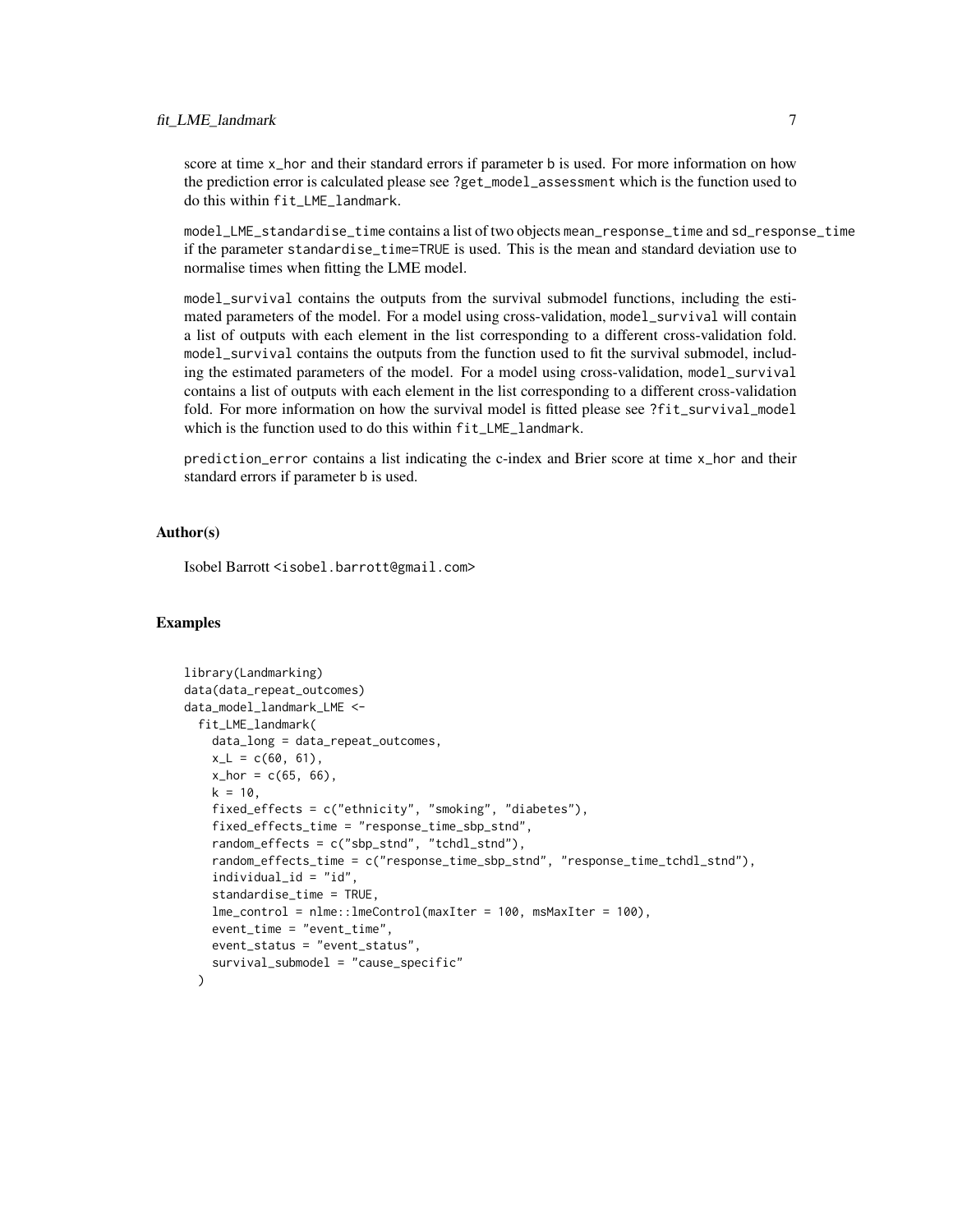#### fit\_LME\_landmark 7

score at time x\_hor and their standard errors if parameter b is used. For more information on how the prediction error is calculated please see ?get\_model\_assessment which is the function used to do this within fit\_LME\_landmark.

model\_LME\_standardise\_time contains a list of two objects mean\_response\_time and sd\_response\_time if the parameter standardise\_time=TRUE is used. This is the mean and standard deviation use to normalise times when fitting the LME model.

model\_survival contains the outputs from the survival submodel functions, including the estimated parameters of the model. For a model using cross-validation, model\_survival will contain a list of outputs with each element in the list corresponding to a different cross-validation fold. model\_survival contains the outputs from the function used to fit the survival submodel, including the estimated parameters of the model. For a model using cross-validation, model\_survival contains a list of outputs with each element in the list corresponding to a different cross-validation fold. For more information on how the survival model is fitted please see ?fit\_survival\_model which is the function used to do this within fit\_LME\_landmark.

prediction\_error contains a list indicating the c-index and Brier score at time x\_hor and their standard errors if parameter b is used.

#### Author(s)

Isobel Barrott <isobel.barrott@gmail.com>

#### Examples

```
library(Landmarking)
data(data_repeat_outcomes)
data_model_landmark_LME <-
 fit_LME_landmark(
   data_long = data_repeat_outcomes,
   x_L = c(60, 61),
   x_{hor} = c(65, 66),
   k = 10,
    fixed_effects = c("ethnicity", "smoking", "diabetes"),
    fixed_effects_time = "response_time_sbp_stnd",
    random_effects = c("sbp_stnd", "tchdl_stnd"),
    random_effects_time = c("response_time_sbp_stnd", "response_time_tchdl_stnd"),
    individual_id = "id"standardise_time = TRUE,
    lme_control = nlme::lmeControl(maxIter = 100, msMaxIter = 100),
    event_time = "event_time",
    event_status = "event_status",
    survival_submodel = "cause_specific"
 )
```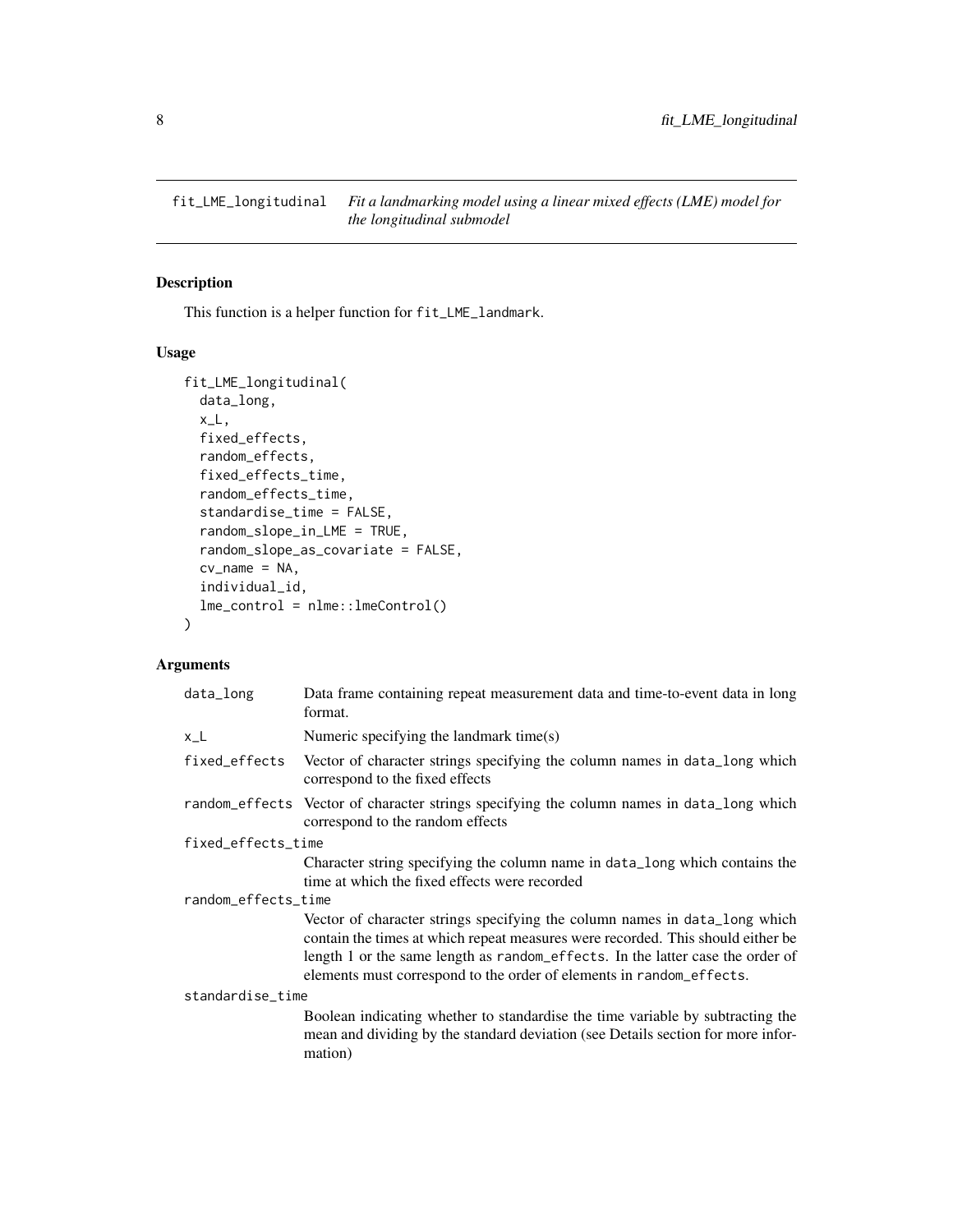<span id="page-7-0"></span>fit\_LME\_longitudinal *Fit a landmarking model using a linear mixed effects (LME) model for the longitudinal submodel*

#### Description

This function is a helper function for fit\_LME\_landmark.

#### Usage

```
fit_LME_longitudinal(
  data_long,
 x_L,
  fixed_effects,
 random_effects,
  fixed_effects_time,
  random_effects_time,
  standardise_time = FALSE,
  random_slope_in_LME = TRUE,
  random_slope_as_covariate = FALSE,
 cv_name = NA,
  individual_id,
 lme_control = nlme::lmeControl()
)
```

| data_long           | Data frame containing repeat measurement data and time-to-event data in long<br>format.                                                                                                                                                                                                                                 |  |
|---------------------|-------------------------------------------------------------------------------------------------------------------------------------------------------------------------------------------------------------------------------------------------------------------------------------------------------------------------|--|
| $x_l$               | Numeric specifying the landmark time $(s)$                                                                                                                                                                                                                                                                              |  |
| fixed_effects       | Vector of character strings specifying the column names in data_long which<br>correspond to the fixed effects                                                                                                                                                                                                           |  |
|                     | random_effects Vector of character strings specifying the column names in data_long which<br>correspond to the random effects                                                                                                                                                                                           |  |
| fixed_effects_time  |                                                                                                                                                                                                                                                                                                                         |  |
|                     | Character string specifying the column name in data_long which contains the                                                                                                                                                                                                                                             |  |
|                     | time at which the fixed effects were recorded                                                                                                                                                                                                                                                                           |  |
| random_effects_time |                                                                                                                                                                                                                                                                                                                         |  |
|                     | Vector of character strings specifying the column names in data_long which<br>contain the times at which repeat measures were recorded. This should either be<br>length 1 or the same length as random_effects. In the latter case the order of<br>elements must correspond to the order of elements in random_effects. |  |
| standardise_time    |                                                                                                                                                                                                                                                                                                                         |  |
|                     | Boolean indicating whether to standardise the time variable by subtracting the<br>mean and dividing by the standard deviation (see Details section for more infor-<br>mation)                                                                                                                                           |  |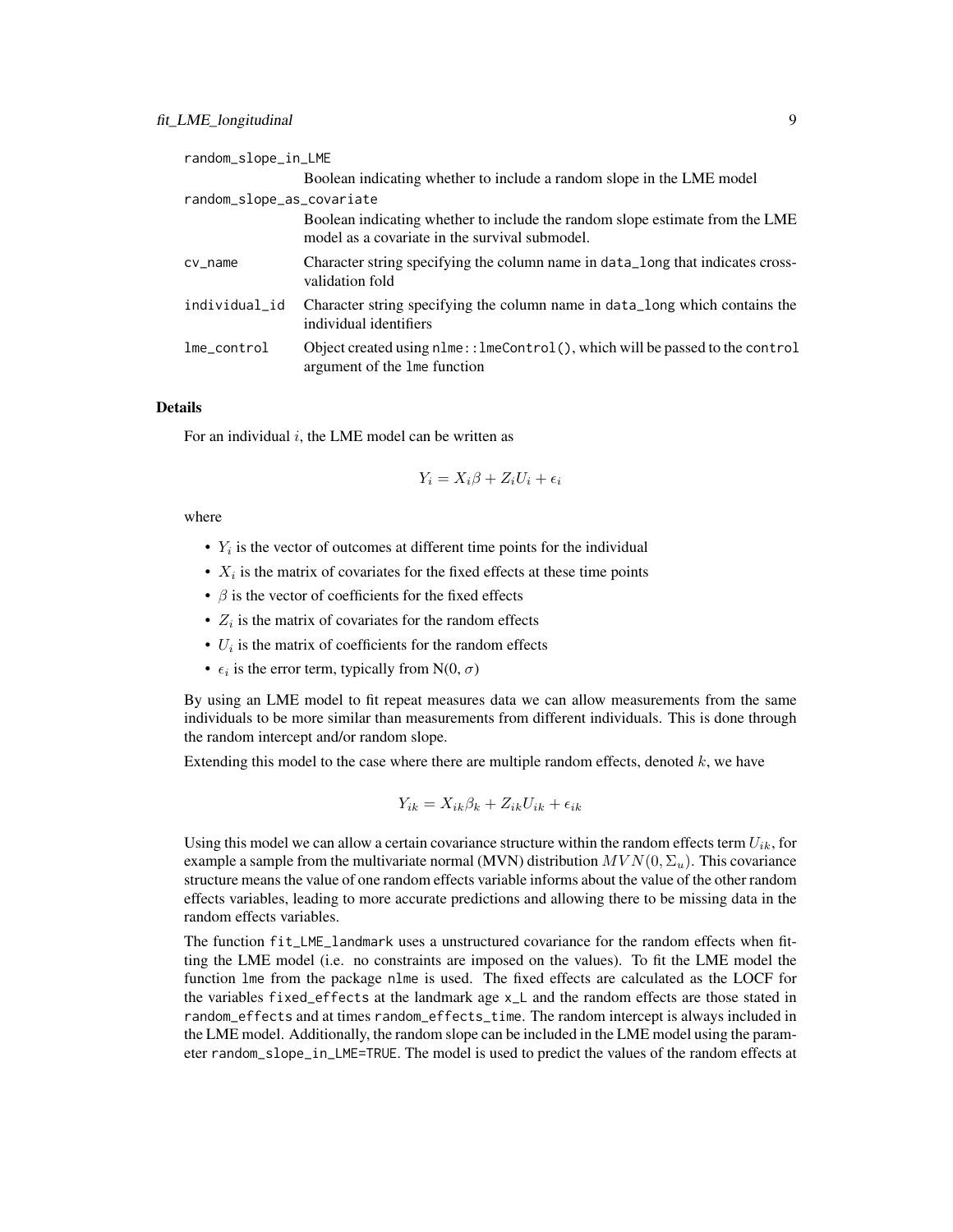| random_slope_in_LME       |                                                                                                                                |
|---------------------------|--------------------------------------------------------------------------------------------------------------------------------|
|                           | Boolean indicating whether to include a random slope in the LME model                                                          |
| random_slope_as_covariate |                                                                                                                                |
|                           | Boolean indicating whether to include the random slope estimate from the LME<br>model as a covariate in the survival submodel. |
| $cv_$ name                | Character string specifying the column name in data_long that indicates cross-<br>validation fold                              |
| individual_id             | Character string specifying the column name in data_long which contains the<br>individual identifiers                          |
| $l$ me_contro $l$         | Object created using $nIm:$ : lmeControl(), which will be passed to the control<br>argument of the lme function                |

#### Details

For an individual  $i$ , the LME model can be written as

$$
Y_i = X_i \beta + Z_i U_i + \epsilon_i
$$

#### where

- $Y_i$  is the vector of outcomes at different time points for the individual
- $X_i$  is the matrix of covariates for the fixed effects at these time points
- $\beta$  is the vector of coefficients for the fixed effects
- $Z_i$  is the matrix of covariates for the random effects
- $\bullet$   $U_i$  is the matrix of coefficients for the random effects
- $\epsilon_i$  is the error term, typically from N(0,  $\sigma$ )

By using an LME model to fit repeat measures data we can allow measurements from the same individuals to be more similar than measurements from different individuals. This is done through the random intercept and/or random slope.

Extending this model to the case where there are multiple random effects, denoted  $k$ , we have

$$
Y_{ik} = X_{ik}\beta_k + Z_{ik}U_{ik} + \epsilon_{ik}
$$

Using this model we can allow a certain covariance structure within the random effects term  $U_{ik}$ , for example a sample from the multivariate normal (MVN) distribution  $MVN(0, \Sigma_u)$ . This covariance structure means the value of one random effects variable informs about the value of the other random effects variables, leading to more accurate predictions and allowing there to be missing data in the random effects variables.

The function fit\_LME\_landmark uses a unstructured covariance for the random effects when fitting the LME model (i.e. no constraints are imposed on the values). To fit the LME model the function lme from the package nlme is used. The fixed effects are calculated as the LOCF for the variables fixed\_effects at the landmark age x\_L and the random effects are those stated in random\_effects and at times random\_effects\_time. The random intercept is always included in the LME model. Additionally, the random slope can be included in the LME model using the parameter random\_slope\_in\_LME=TRUE. The model is used to predict the values of the random effects at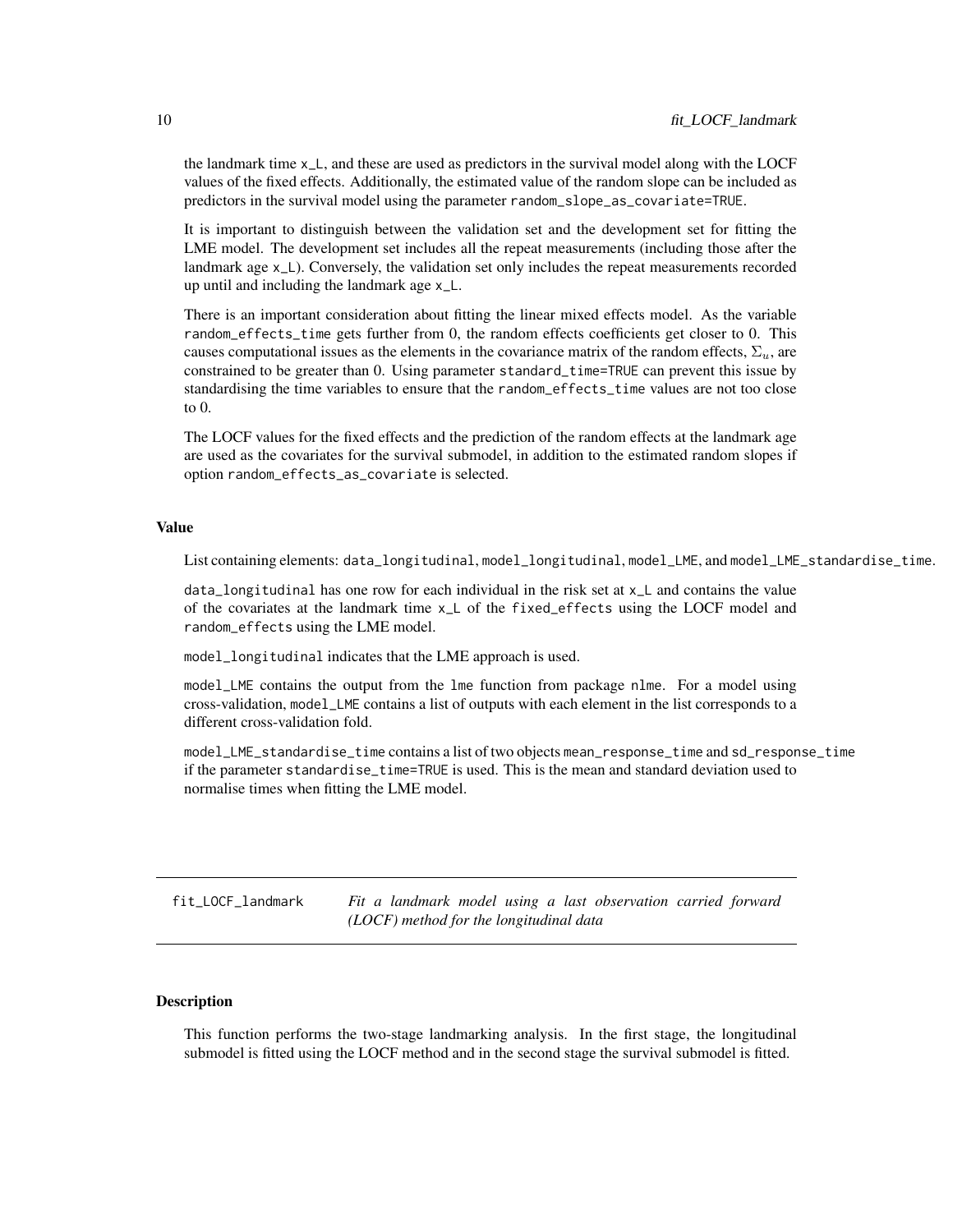<span id="page-9-0"></span>the landmark time x\_L, and these are used as predictors in the survival model along with the LOCF values of the fixed effects. Additionally, the estimated value of the random slope can be included as predictors in the survival model using the parameter random\_slope\_as\_covariate=TRUE.

It is important to distinguish between the validation set and the development set for fitting the LME model. The development set includes all the repeat measurements (including those after the landmark age x\_L). Conversely, the validation set only includes the repeat measurements recorded up until and including the landmark age x\_L.

There is an important consideration about fitting the linear mixed effects model. As the variable random\_effects\_time gets further from 0, the random effects coefficients get closer to 0. This causes computational issues as the elements in the covariance matrix of the random effects,  $\Sigma_u$ , are constrained to be greater than 0. Using parameter standard\_time=TRUE can prevent this issue by standardising the time variables to ensure that the random\_effects\_time values are not too close to 0.

The LOCF values for the fixed effects and the prediction of the random effects at the landmark age are used as the covariates for the survival submodel, in addition to the estimated random slopes if option random\_effects\_as\_covariate is selected.

#### Value

List containing elements: data\_longitudinal, model\_longitudinal, model\_LME, and model\_LME\_standardise\_time.

data\_longitudinal has one row for each individual in the risk set at x\_L and contains the value of the covariates at the landmark time x\_L of the fixed\_effects using the LOCF model and random\_effects using the LME model.

model\_longitudinal indicates that the LME approach is used.

model\_LME contains the output from the lme function from package nlme. For a model using cross-validation, model\_LME contains a list of outputs with each element in the list corresponds to a different cross-validation fold.

model\_LME\_standardise\_time contains a list of two objects mean\_response\_time and sd\_response\_time if the parameter standardise\_time=TRUE is used. This is the mean and standard deviation used to normalise times when fitting the LME model.

fit\_LOCF\_landmark *Fit a landmark model using a last observation carried forward (LOCF) method for the longitudinal data*

#### Description

This function performs the two-stage landmarking analysis. In the first stage, the longitudinal submodel is fitted using the LOCF method and in the second stage the survival submodel is fitted.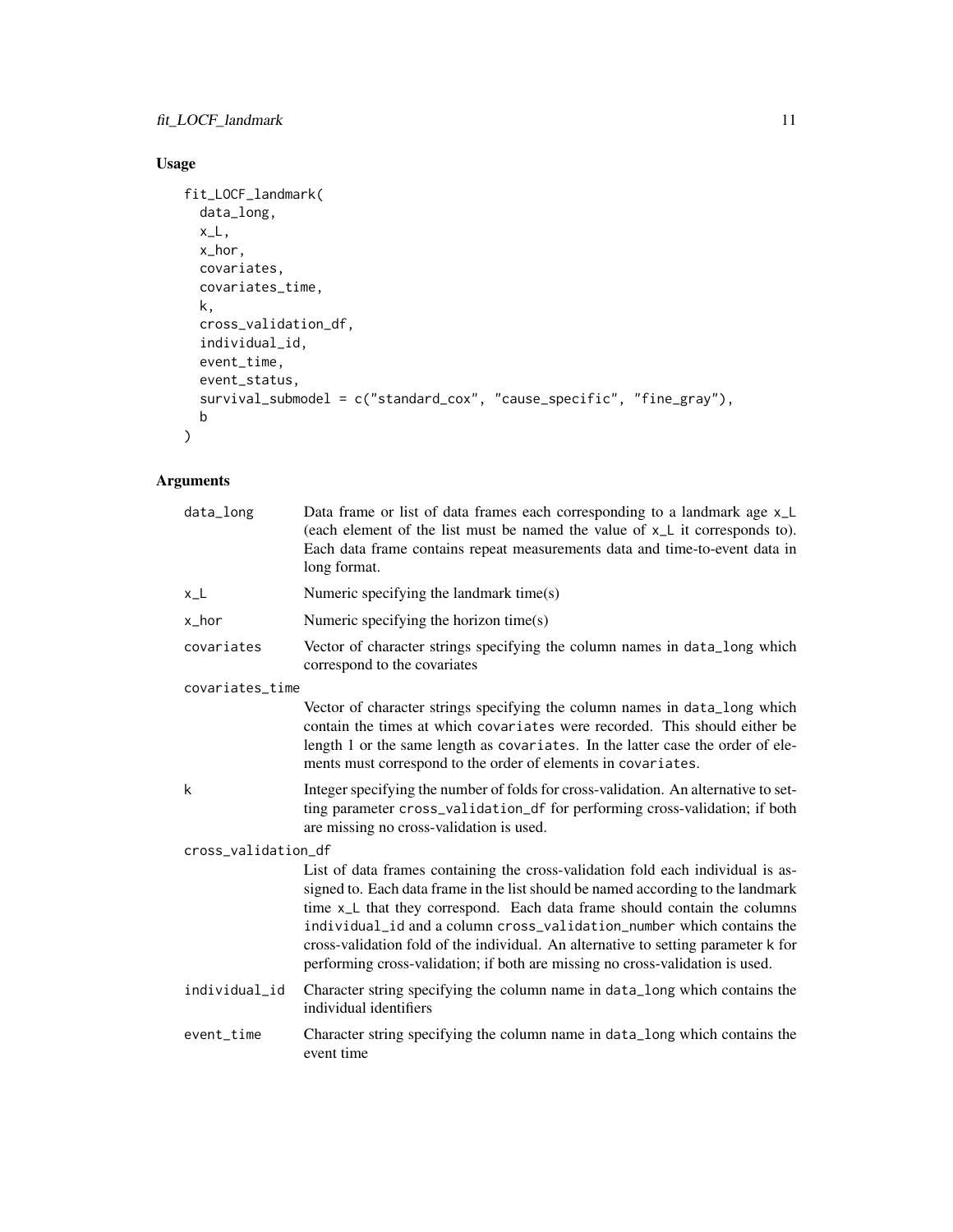#### Usage

```
fit_LOCF_landmark(
 data_long,
 x_L,
 x_hor,
 covariates,
 covariates_time,
 k,
 cross_validation_df,
 individual_id,
 event_time,
 event_status,
 survival_submodel = c("standard_cox", "cause_specific", "fine_gray"),
 b
)
```

| data_long           | Data frame or list of data frames each corresponding to a landmark age x_L<br>(each element of the list must be named the value of x <sub>L</sub> it corresponds to).<br>Each data frame contains repeat measurements data and time-to-event data in<br>long format.                                                                                                                                                                                                                                          |  |
|---------------------|---------------------------------------------------------------------------------------------------------------------------------------------------------------------------------------------------------------------------------------------------------------------------------------------------------------------------------------------------------------------------------------------------------------------------------------------------------------------------------------------------------------|--|
| $x_l$               | Numeric specifying the landmark time(s)                                                                                                                                                                                                                                                                                                                                                                                                                                                                       |  |
| x_hor               | Numeric specifying the horizon time(s)                                                                                                                                                                                                                                                                                                                                                                                                                                                                        |  |
| covariates          | Vector of character strings specifying the column names in data_long which<br>correspond to the covariates                                                                                                                                                                                                                                                                                                                                                                                                    |  |
| covariates_time     |                                                                                                                                                                                                                                                                                                                                                                                                                                                                                                               |  |
|                     | Vector of character strings specifying the column names in data_long which<br>contain the times at which covariates were recorded. This should either be<br>length 1 or the same length as covariates. In the latter case the order of ele-<br>ments must correspond to the order of elements in covariates.                                                                                                                                                                                                  |  |
| k                   | Integer specifying the number of folds for cross-validation. An alternative to set-<br>ting parameter cross_validation_df for performing cross-validation; if both<br>are missing no cross-validation is used.                                                                                                                                                                                                                                                                                                |  |
| cross_validation_df |                                                                                                                                                                                                                                                                                                                                                                                                                                                                                                               |  |
|                     | List of data frames containing the cross-validation fold each individual is as-<br>signed to. Each data frame in the list should be named according to the landmark<br>time x <sub>1</sub> L that they correspond. Each data frame should contain the columns<br>individual_id and a column cross_validation_number which contains the<br>cross-validation fold of the individual. An alternative to setting parameter k for<br>performing cross-validation; if both are missing no cross-validation is used. |  |
| individual_id       | Character string specifying the column name in data_long which contains the<br>individual identifiers                                                                                                                                                                                                                                                                                                                                                                                                         |  |
| event_time          | Character string specifying the column name in data_long which contains the<br>event time                                                                                                                                                                                                                                                                                                                                                                                                                     |  |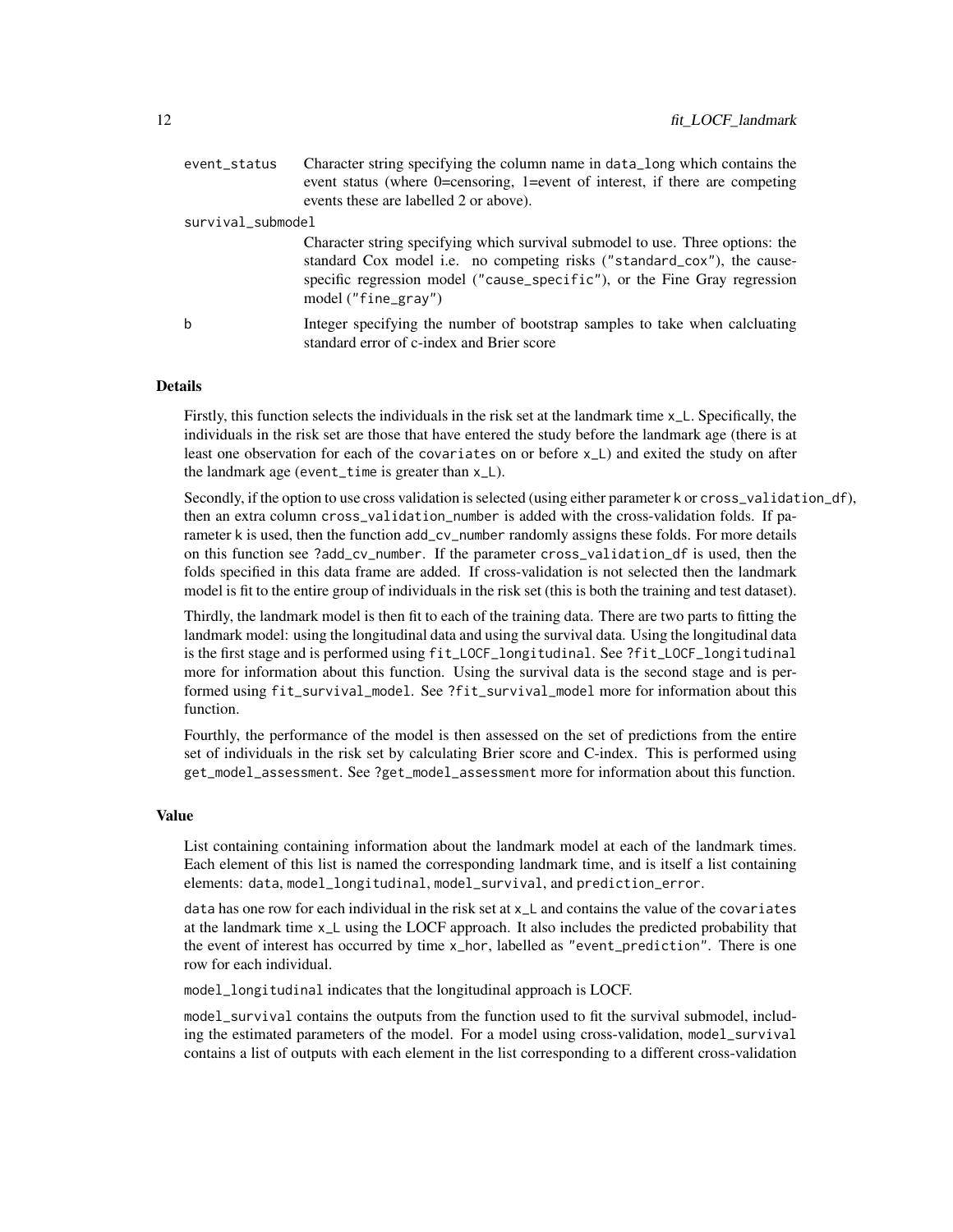| event_status      | Character string specifying the column name in data_long which contains the<br>event status (where 0=censoring, 1=event of interest, if there are competing<br>events these are labelled 2 or above).                                                         |
|-------------------|---------------------------------------------------------------------------------------------------------------------------------------------------------------------------------------------------------------------------------------------------------------|
| survival_submodel |                                                                                                                                                                                                                                                               |
|                   | Character string specifying which survival submodel to use. Three options: the<br>standard Cox model i.e. no competing risks ("standard_cox"), the cause-<br>specific regression model ("cause_specific"), or the Fine Gray regression<br>model ("fine_gray") |
| b                 | Integer specifying the number of bootstrap samples to take when calcluating<br>standard error of c-index and Brier score                                                                                                                                      |

#### Details

Firstly, this function selects the individuals in the risk set at the landmark time x\_L. Specifically, the individuals in the risk set are those that have entered the study before the landmark age (there is at least one observation for each of the covariates on or before x\_L) and exited the study on after the landmark age (event\_time is greater than x\_L).

Secondly, if the option to use cross validation is selected (using either parameter k or cross\_validation\_df), then an extra column cross\_validation\_number is added with the cross-validation folds. If parameter k is used, then the function add\_cv\_number randomly assigns these folds. For more details on this function see ?add\_cv\_number. If the parameter cross\_validation\_df is used, then the folds specified in this data frame are added. If cross-validation is not selected then the landmark model is fit to the entire group of individuals in the risk set (this is both the training and test dataset).

Thirdly, the landmark model is then fit to each of the training data. There are two parts to fitting the landmark model: using the longitudinal data and using the survival data. Using the longitudinal data is the first stage and is performed using fit\_LOCF\_longitudinal. See ?fit\_LOCF\_longitudinal more for information about this function. Using the survival data is the second stage and is performed using fit\_survival\_model. See ?fit\_survival\_model more for information about this function.

Fourthly, the performance of the model is then assessed on the set of predictions from the entire set of individuals in the risk set by calculating Brier score and C-index. This is performed using get\_model\_assessment. See ?get\_model\_assessment more for information about this function.

#### Value

List containing containing information about the landmark model at each of the landmark times. Each element of this list is named the corresponding landmark time, and is itself a list containing elements: data, model\_longitudinal, model\_survival, and prediction\_error.

data has one row for each individual in the risk set at x\_L and contains the value of the covariates at the landmark time x\_L using the LOCF approach. It also includes the predicted probability that the event of interest has occurred by time x\_hor, labelled as "event\_prediction". There is one row for each individual.

model\_longitudinal indicates that the longitudinal approach is LOCF.

model\_survival contains the outputs from the function used to fit the survival submodel, including the estimated parameters of the model. For a model using cross-validation, model\_survival contains a list of outputs with each element in the list corresponding to a different cross-validation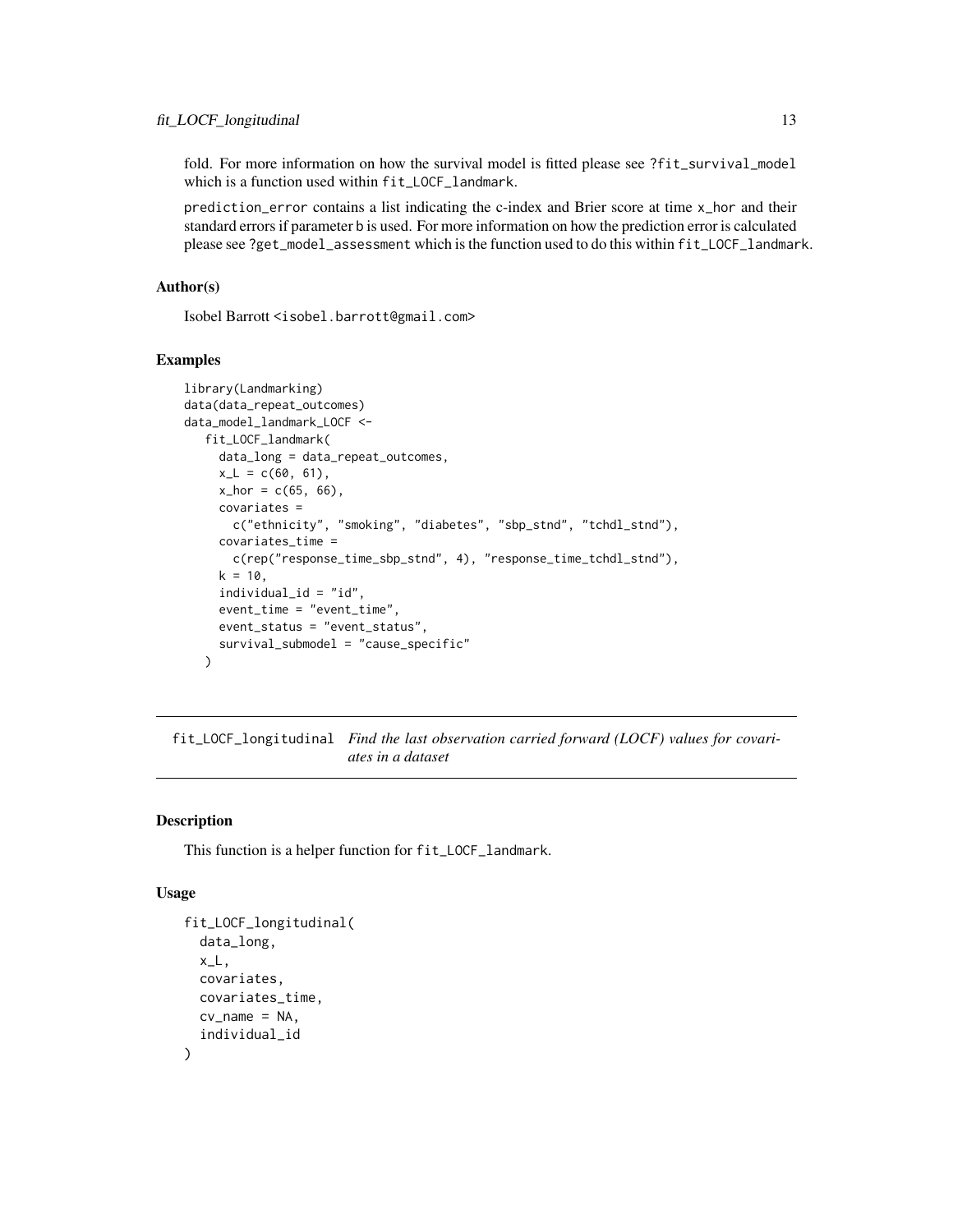<span id="page-12-0"></span>fold. For more information on how the survival model is fitted please see ?fit\_survival\_model which is a function used within fit\_LOCF\_landmark.

prediction\_error contains a list indicating the c-index and Brier score at time x\_hor and their standard errors if parameter b is used. For more information on how the prediction error is calculated please see ?get\_model\_assessment which is the function used to do this within fit\_LOCF\_landmark.

#### Author(s)

Isobel Barrott <isobel.barrott@gmail.com>

#### Examples

```
library(Landmarking)
data(data_repeat_outcomes)
data_model_landmark_LOCF <-
  fit_LOCF_landmark(
    data_long = data_repeat_outcomes,
    x_L = c(60, 61),
    x_hor = c(65, 66),
    covariates =
      c("ethnicity", "smoking", "diabetes", "sbp_stnd", "tchdl_stnd"),
    covariates_time =
      c(rep("response_time_sbp_stnd", 4), "response_time_tchdl_stnd"),
    k = 10,
     individual_id = "id",
     event_time = "event_time",
    event_status = "event_status",
     survival_submodel = "cause_specific"
  )
```
fit\_LOCF\_longitudinal *Find the last observation carried forward (LOCF) values for covariates in a dataset*

#### Description

This function is a helper function for fit\_LOCF\_landmark.

#### Usage

```
fit_LOCF_longitudinal(
  data_long,
  x_L,
  covariates,
  covariates_time,
  cv_name = NA,
  individual_id
)
```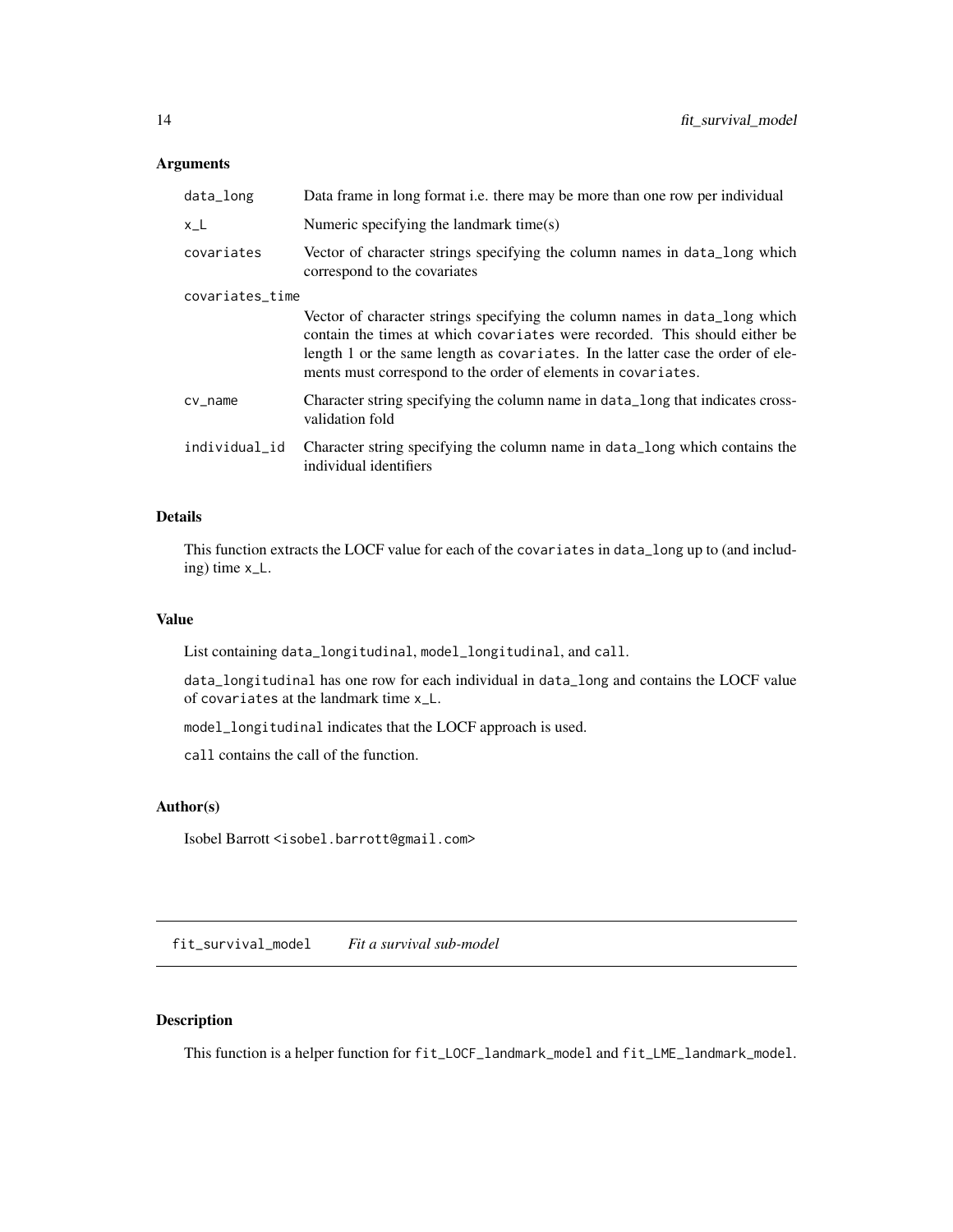#### <span id="page-13-0"></span>Arguments

| data_long       | Data frame in long format <i>i.e.</i> there may be more than one row per individual                                                                                                                                                                                                                          |
|-----------------|--------------------------------------------------------------------------------------------------------------------------------------------------------------------------------------------------------------------------------------------------------------------------------------------------------------|
| $x_L$           | Numeric specifying the landmark time(s)                                                                                                                                                                                                                                                                      |
| covariates      | Vector of character strings specifying the column names in data_long which<br>correspond to the covariates                                                                                                                                                                                                   |
| covariates_time |                                                                                                                                                                                                                                                                                                              |
|                 | Vector of character strings specifying the column names in data_long which<br>contain the times at which covariates were recorded. This should either be<br>length 1 or the same length as covariates. In the latter case the order of ele-<br>ments must correspond to the order of elements in covariates. |
| $cv_$ name      | Character string specifying the column name in data_long that indicates cross-<br>validation fold                                                                                                                                                                                                            |
| individual_id   | Character string specifying the column name in data_long which contains the<br>individual identifiers                                                                                                                                                                                                        |

#### Details

This function extracts the LOCF value for each of the covariates in data\_long up to (and including) time x\_L.

#### Value

List containing data\_longitudinal, model\_longitudinal, and call.

data\_longitudinal has one row for each individual in data\_long and contains the LOCF value of covariates at the landmark time x\_L.

model\_longitudinal indicates that the LOCF approach is used.

call contains the call of the function.

#### Author(s)

Isobel Barrott <isobel.barrott@gmail.com>

fit\_survival\_model *Fit a survival sub-model*

#### Description

This function is a helper function for fit\_LOCF\_landmark\_model and fit\_LME\_landmark\_model.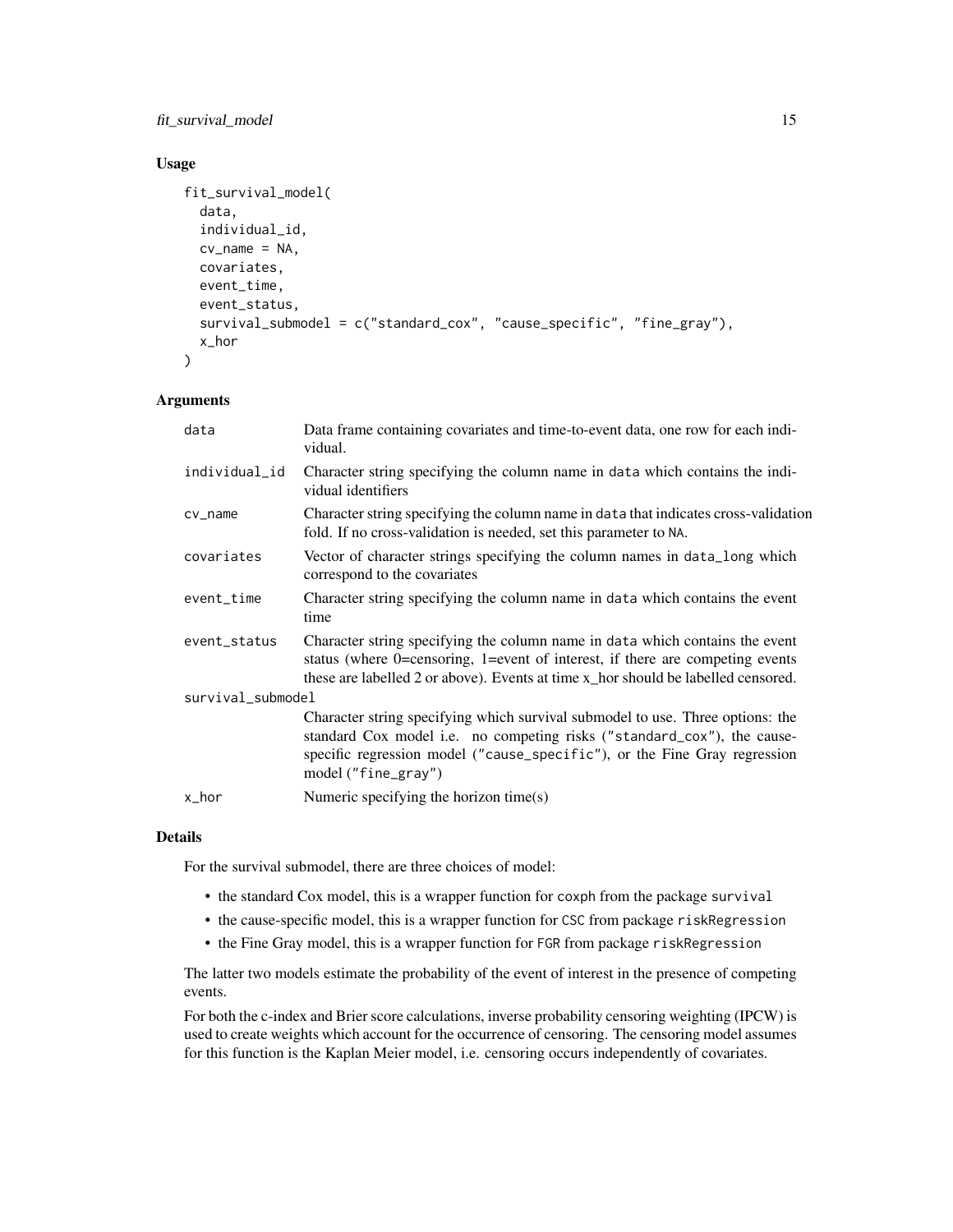fit\_survival\_model 15

#### Usage

```
fit_survival_model(
  data,
  individual_id,
  cv_name = NA,
  covariates,
  event_time,
  event_status,
  survival_submodel = c("standard_cox", "cause_specific", "fine_gray"),
  x_hor
)
```
#### Arguments

| data              | Data frame containing covariates and time-to-event data, one row for each indi-<br>vidual.                                                                                                                                                                    |  |
|-------------------|---------------------------------------------------------------------------------------------------------------------------------------------------------------------------------------------------------------------------------------------------------------|--|
| individual_id     | Character string specifying the column name in data which contains the indi-<br>vidual identifiers                                                                                                                                                            |  |
| cv_name           | Character string specifying the column name in data that indicates cross-validation<br>fold. If no cross-validation is needed, set this parameter to NA.                                                                                                      |  |
| covariates        | Vector of character strings specifying the column names in data_long which<br>correspond to the covariates                                                                                                                                                    |  |
| event_time        | Character string specifying the column name in data which contains the event<br>time                                                                                                                                                                          |  |
| event_status      | Character string specifying the column name in data which contains the event<br>status (where 0=censoring, 1=event of interest, if there are competing events<br>these are labelled 2 or above). Events at time x_hor should be labelled censored.            |  |
| survival_submodel |                                                                                                                                                                                                                                                               |  |
|                   | Character string specifying which survival submodel to use. Three options: the<br>standard Cox model i.e. no competing risks ("standard_cox"), the cause-<br>specific regression model ("cause_specific"), or the Fine Gray regression<br>model ("fine_gray") |  |
| x_hor             | Numeric specifying the horizon time(s)                                                                                                                                                                                                                        |  |

#### Details

For the survival submodel, there are three choices of model:

- the standard Cox model, this is a wrapper function for coxph from the package survival
- the cause-specific model, this is a wrapper function for CSC from package riskRegression
- the Fine Gray model, this is a wrapper function for FGR from package riskRegression

The latter two models estimate the probability of the event of interest in the presence of competing events.

For both the c-index and Brier score calculations, inverse probability censoring weighting (IPCW) is used to create weights which account for the occurrence of censoring. The censoring model assumes for this function is the Kaplan Meier model, i.e. censoring occurs independently of covariates.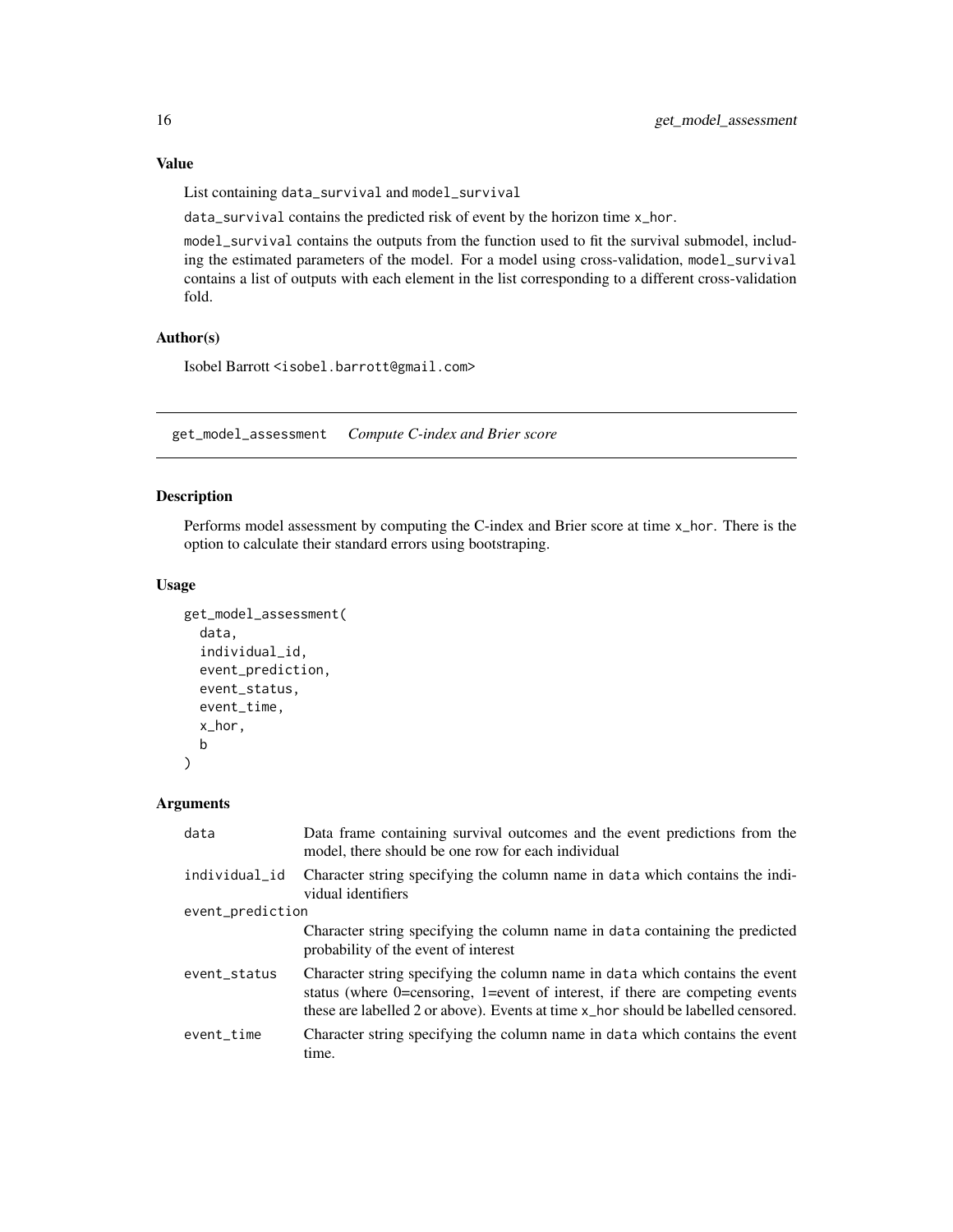List containing data\_survival and model\_survival

data\_survival contains the predicted risk of event by the horizon time x\_hor.

model\_survival contains the outputs from the function used to fit the survival submodel, including the estimated parameters of the model. For a model using cross-validation, model\_survival contains a list of outputs with each element in the list corresponding to a different cross-validation fold.

#### Author(s)

Isobel Barrott <isobel.barrott@gmail.com>

get\_model\_assessment *Compute C-index and Brier score*

#### Description

Performs model assessment by computing the C-index and Brier score at time x\_hor. There is the option to calculate their standard errors using bootstraping.

#### Usage

```
get_model_assessment(
 data,
  individual_id,
 event_prediction,
 event_status,
 event_time,
 x_hor,
 b
)
```

| data             | Data frame containing survival outcomes and the event predictions from the<br>model, there should be one row for each individual                                                                                                                      |
|------------------|-------------------------------------------------------------------------------------------------------------------------------------------------------------------------------------------------------------------------------------------------------|
| individual_id    | Character string specifying the column name in data which contains the indi-<br>vidual identifiers                                                                                                                                                    |
| event_prediction |                                                                                                                                                                                                                                                       |
|                  | Character string specifying the column name in data containing the predicted<br>probability of the event of interest                                                                                                                                  |
| event_status     | Character string specifying the column name in data which contains the event<br>status (where $0$ =censoring, 1=event of interest, if there are competing events<br>these are labelled 2 or above). Events at time x_hor should be labelled censored. |
| event time       | Character string specifying the column name in data which contains the event<br>time.                                                                                                                                                                 |

<span id="page-15-0"></span>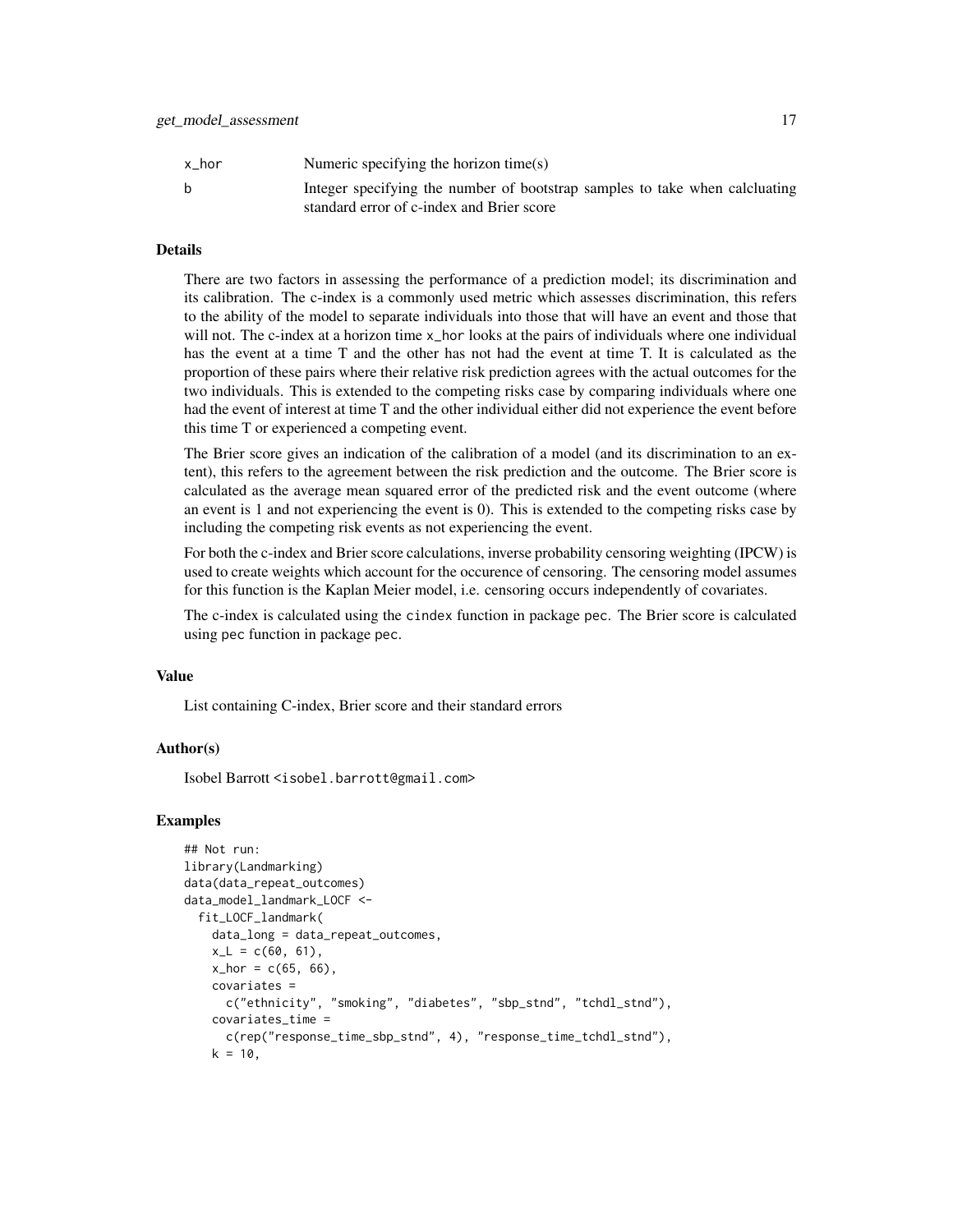| x hor | Numeric specifying the horizon time(s)                                                                                   |
|-------|--------------------------------------------------------------------------------------------------------------------------|
| b     | Integer specifying the number of bootstrap samples to take when calcluating<br>standard error of c-index and Brier score |

#### Details

There are two factors in assessing the performance of a prediction model; its discrimination and its calibration. The c-index is a commonly used metric which assesses discrimination, this refers to the ability of the model to separate individuals into those that will have an event and those that will not. The c-index at a horizon time x\_hor looks at the pairs of individuals where one individual has the event at a time T and the other has not had the event at time T. It is calculated as the proportion of these pairs where their relative risk prediction agrees with the actual outcomes for the two individuals. This is extended to the competing risks case by comparing individuals where one had the event of interest at time T and the other individual either did not experience the event before this time T or experienced a competing event.

The Brier score gives an indication of the calibration of a model (and its discrimination to an extent), this refers to the agreement between the risk prediction and the outcome. The Brier score is calculated as the average mean squared error of the predicted risk and the event outcome (where an event is 1 and not experiencing the event is 0). This is extended to the competing risks case by including the competing risk events as not experiencing the event.

For both the c-index and Brier score calculations, inverse probability censoring weighting (IPCW) is used to create weights which account for the occurence of censoring. The censoring model assumes for this function is the Kaplan Meier model, i.e. censoring occurs independently of covariates.

The c-index is calculated using the cindex function in package pec. The Brier score is calculated using pec function in package pec.

#### Value

List containing C-index, Brier score and their standard errors

#### Author(s)

Isobel Barrott <isobel.barrott@gmail.com>

#### Examples

```
## Not run:
library(Landmarking)
data(data_repeat_outcomes)
data_model_landmark_LOCF <-
 fit_LOCF_landmark(
   data_long = data_repeat_outcomes,
   x_L = c(60, 61),
    x_{hor} = c(65, 66),
    covariates =
      c("ethnicity", "smoking", "diabetes", "sbp_stnd", "tchdl_stnd"),
    covariates_time =
      c(rep("response_time_sbp_stnd", 4), "response_time_tchdl_stnd"),
    k = 10,
```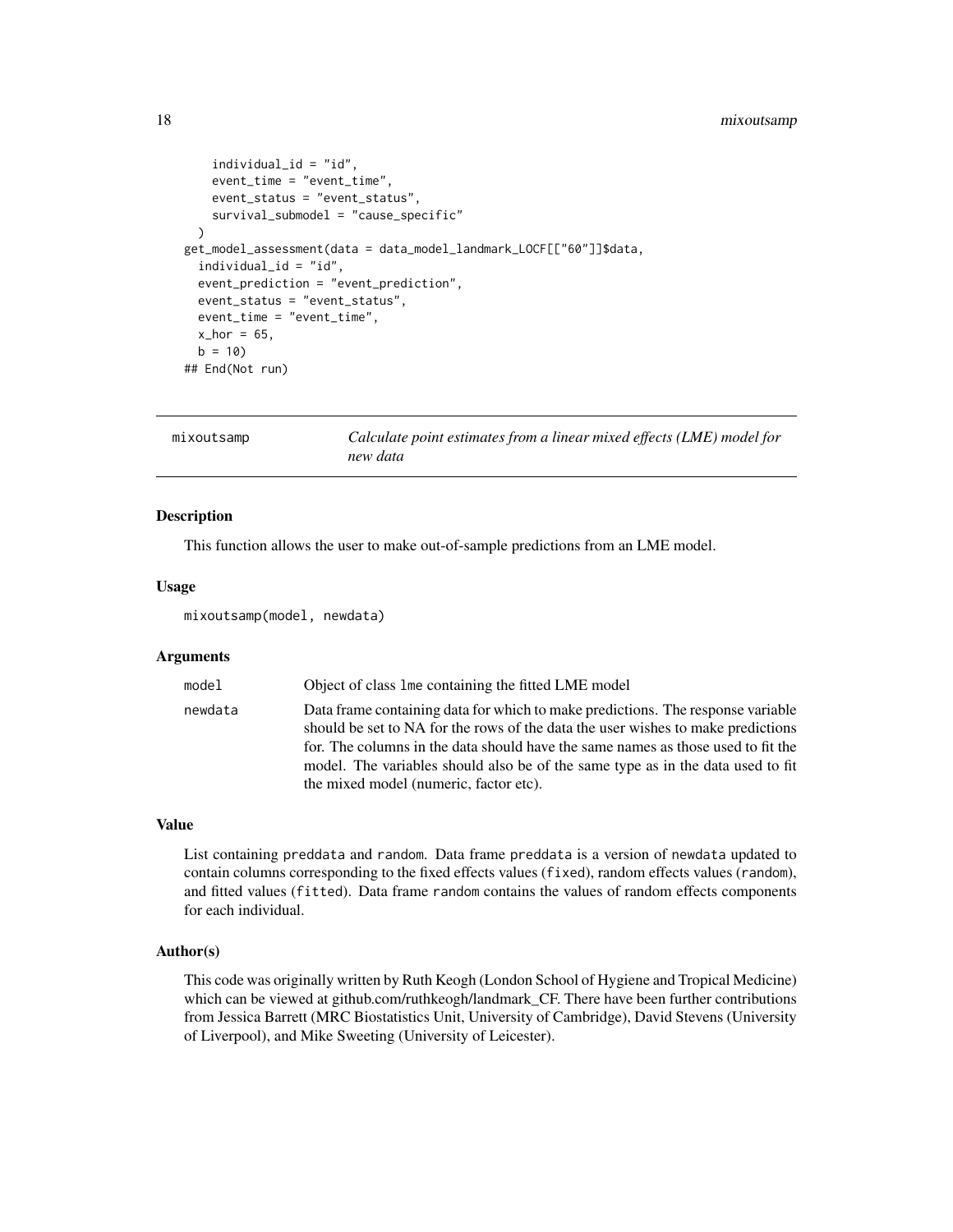#### <span id="page-17-0"></span>18 mixoutsamp

```
individual_id = "id",
    event_time = "event_time",
   event_status = "event_status",
   survival_submodel = "cause_specific"
 )
get_model_assessment(data = data_model_landmark_LOCF[["60"]]$data,
 individual_id = "id",
 event_prediction = "event_prediction",
 event_status = "event_status",
 event_time = "event_time",
 x_hor = 65,
 b = 10## End(Not run)
```

| mixoutsamp | Calculate point estimates from a linear mixed effects (LME) model for |
|------------|-----------------------------------------------------------------------|
|            | new data                                                              |

#### Description

This function allows the user to make out-of-sample predictions from an LME model.

#### Usage

mixoutsamp(model, newdata)

#### Arguments

| model   | Object of class 1 me containing the fitted LME model                                                                                                                                                                                                                                                                                                                                 |
|---------|--------------------------------------------------------------------------------------------------------------------------------------------------------------------------------------------------------------------------------------------------------------------------------------------------------------------------------------------------------------------------------------|
| newdata | Data frame containing data for which to make predictions. The response variable<br>should be set to NA for the rows of the data the user wishes to make predictions<br>for. The columns in the data should have the same names as those used to fit the<br>model. The variables should also be of the same type as in the data used to fit<br>the mixed model (numeric, factor etc). |

#### Value

List containing preddata and random. Data frame preddata is a version of newdata updated to contain columns corresponding to the fixed effects values (fixed), random effects values (random), and fitted values (fitted). Data frame random contains the values of random effects components for each individual.

#### Author(s)

This code was originally written by Ruth Keogh (London School of Hygiene and Tropical Medicine) which can be viewed at github.com/ruthkeogh/landmark\_CF. There have been further contributions from Jessica Barrett (MRC Biostatistics Unit, University of Cambridge), David Stevens (University of Liverpool), and Mike Sweeting (University of Leicester).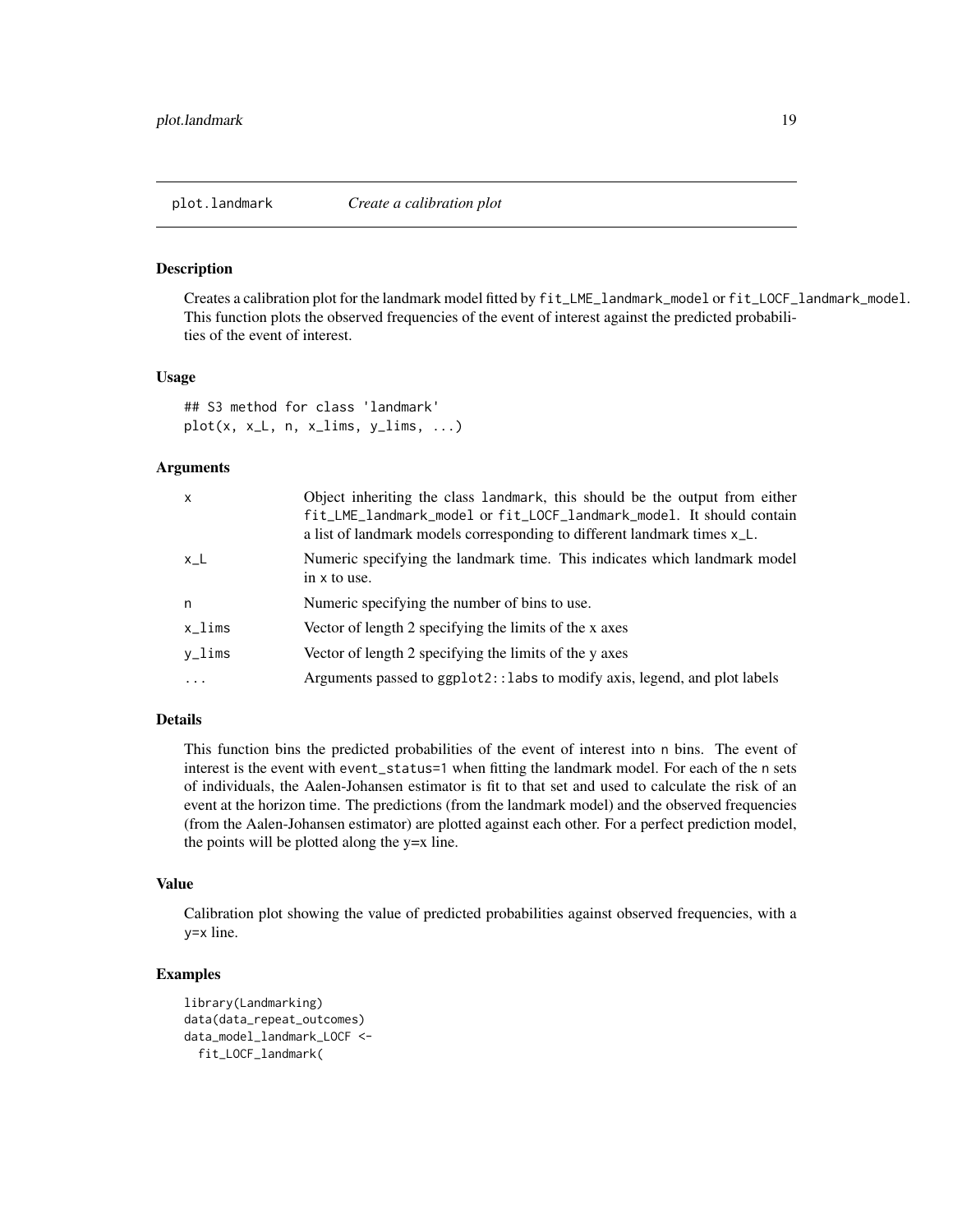<span id="page-18-0"></span>

#### **Description**

Creates a calibration plot for the landmark model fitted by fit\_LME\_landmark\_model or fit\_LOCF\_landmark\_model. This function plots the observed frequencies of the event of interest against the predicted probabilities of the event of interest.

#### Usage

```
## S3 method for class 'landmark'
plot(x, x_l, n, x_lims, y_lims, ...)
```
#### Arguments

| $\mathsf{x}$ | Object inheriting the class landmark, this should be the output from either<br>fit_LME_landmark_model or fit_LOCF_landmark_model. It should contain<br>a list of landmark models corresponding to different landmark times x_L. |
|--------------|---------------------------------------------------------------------------------------------------------------------------------------------------------------------------------------------------------------------------------|
| $x_l$        | Numeric specifying the landmark time. This indicates which landmark model<br>in x to use.                                                                                                                                       |
| n            | Numeric specifying the number of bins to use.                                                                                                                                                                                   |
| x_lims       | Vector of length 2 specifying the limits of the x axes                                                                                                                                                                          |
| y_lims       | Vector of length 2 specifying the limits of the y axes                                                                                                                                                                          |
| $\ddots$     | Arguments passed to ggplot2::labs to modify axis, legend, and plot labels                                                                                                                                                       |

#### Details

This function bins the predicted probabilities of the event of interest into n bins. The event of interest is the event with event\_status=1 when fitting the landmark model. For each of the n sets of individuals, the Aalen-Johansen estimator is fit to that set and used to calculate the risk of an event at the horizon time. The predictions (from the landmark model) and the observed frequencies (from the Aalen-Johansen estimator) are plotted against each other. For a perfect prediction model, the points will be plotted along the y=x line.

#### Value

Calibration plot showing the value of predicted probabilities against observed frequencies, with a y=x line.

#### Examples

```
library(Landmarking)
data(data_repeat_outcomes)
data_model_landmark_LOCF <-
 fit_LOCF_landmark(
```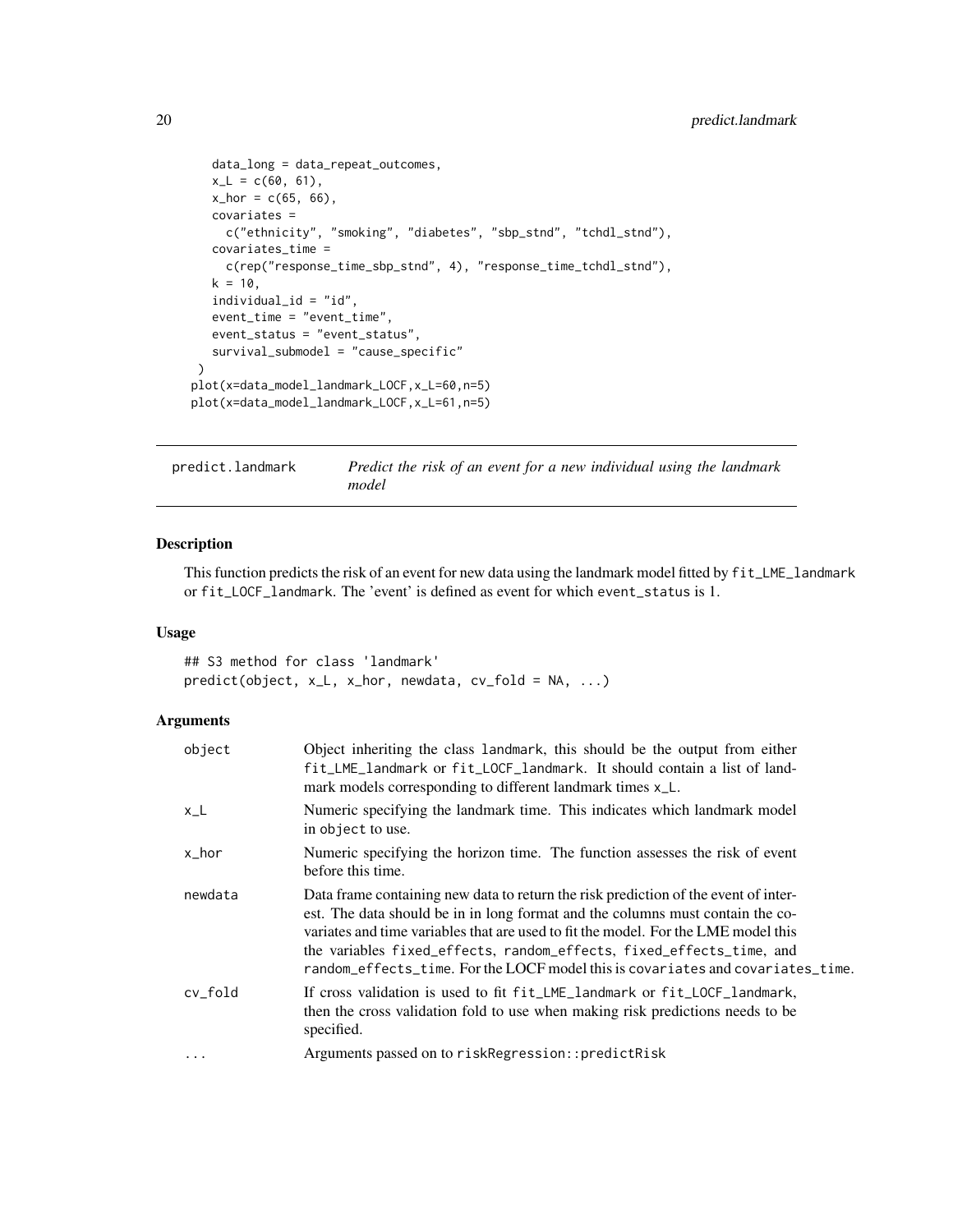```
data_long = data_repeat_outcomes,
   x_L = c(60, 61),
  x_hor = c(65, 66),
  covariates =
    c("ethnicity", "smoking", "diabetes", "sbp_stnd", "tchdl_stnd"),
   covariates_time =
    c(rep("response_time_sbp_stnd", 4), "response_time_tchdl_stnd"),
  k = 10,
   individual_id = "id",
   event_time = "event_time",
   event_status = "event_status",
   survival_submodel = "cause_specific"
 )
plot(x=data_model_landmark_LOCF,x_L=60,n=5)
plot(x=data_model_landmark_LOCF,x_L=61,n=5)
```
predict.landmark *Predict the risk of an event for a new individual using the landmark model*

#### Description

This function predicts the risk of an event for new data using the landmark model fitted by fit\_LME\_landmark or fit\_LOCF\_landmark. The 'event' is defined as event for which event\_status is 1.

#### Usage

## S3 method for class 'landmark' predict(object, x\_L, x\_hor, newdata, cv\_fold = NA, ...)

| object   | Object inheriting the class landmark, this should be the output from either<br>fit_LME_landmark or fit_LOCF_landmark. It should contain a list of land-<br>mark models corresponding to different landmark times x_L.                                                                                                                                                                                                  |
|----------|------------------------------------------------------------------------------------------------------------------------------------------------------------------------------------------------------------------------------------------------------------------------------------------------------------------------------------------------------------------------------------------------------------------------|
| $x_L$    | Numeric specifying the landmark time. This indicates which landmark model<br>in object to use.                                                                                                                                                                                                                                                                                                                         |
| x_hor    | Numeric specifying the horizon time. The function assesses the risk of event<br>before this time.                                                                                                                                                                                                                                                                                                                      |
| newdata  | Data frame containing new data to return the risk prediction of the event of inter-<br>est. The data should be in in long format and the columns must contain the co-<br>variates and time variables that are used to fit the model. For the LME model this<br>the variables fixed_effects, random_effects, fixed_effects_time, and<br>random_effects_time. For the LOCF model this is covariates and covariates_time. |
| cv_fold  | If cross validation is used to fit fit_LME_landmark or fit_LOCF_landmark,<br>then the cross validation fold to use when making risk predictions needs to be<br>specified.                                                                                                                                                                                                                                              |
| $\cdots$ | Arguments passed on to riskRegression::predictRisk                                                                                                                                                                                                                                                                                                                                                                     |

<span id="page-19-0"></span>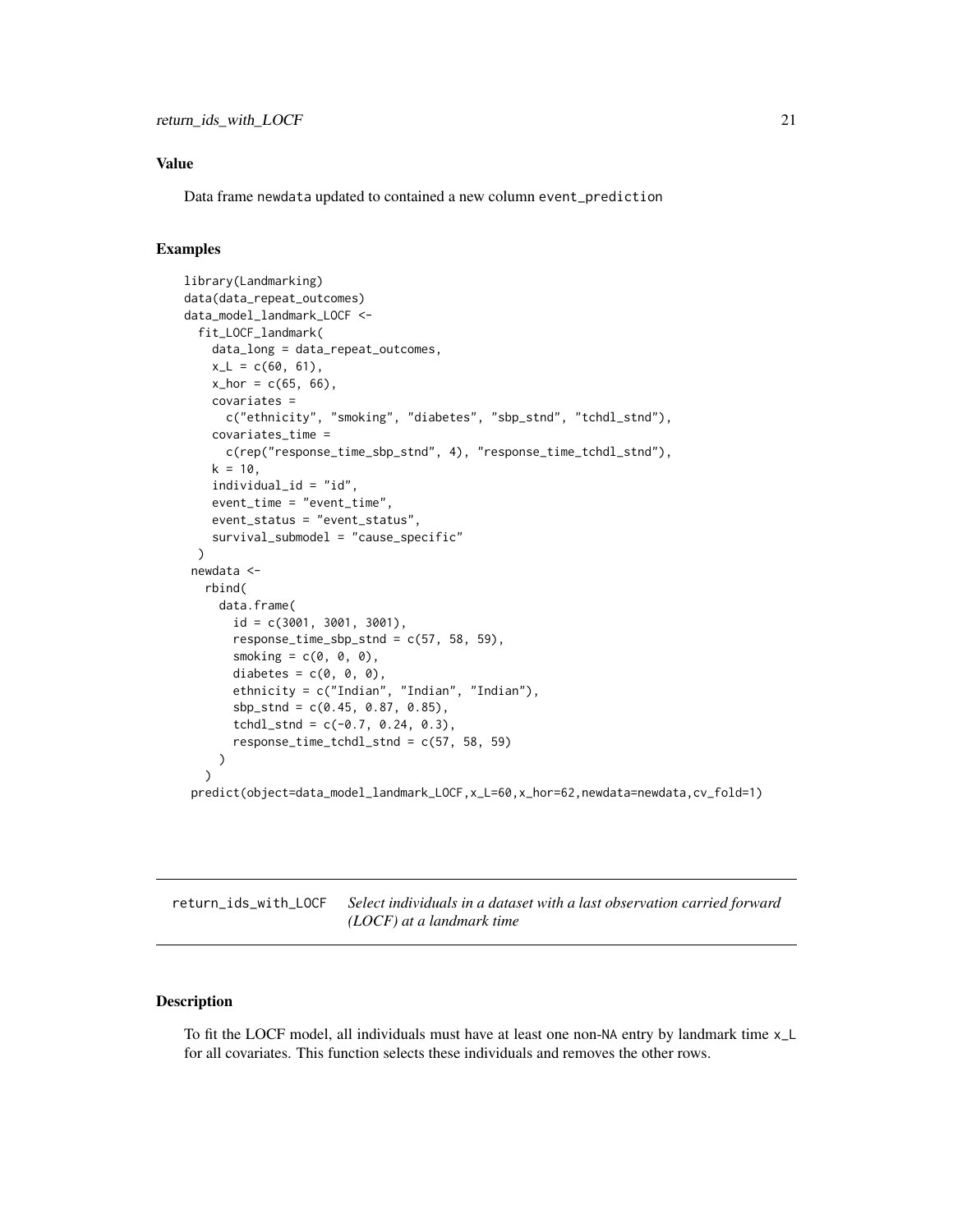#### <span id="page-20-0"></span>Value

Data frame newdata updated to contained a new column event\_prediction

#### Examples

```
library(Landmarking)
data(data_repeat_outcomes)
data_model_landmark_LOCF <-
 fit_LOCF_landmark(
    data_long = data_repeat_outcomes,
   x_L = c(60, 61),
   x_{hor} = c(65, 66),
    covariates =
      c("ethnicity", "smoking", "diabetes", "sbp_stnd", "tchdl_stnd"),
    covariates_time =
      c(rep("response_time_sbp_stnd", 4), "response_time_tchdl_stnd"),
   k = 10,
    individual_id = "id",
    event_time = "event_time",
    event_status = "event_status",
    survival_submodel = "cause_specific"
 )
newdata <-
   rbind(
     data.frame(
       id = c(3001, 3001, 3001),
       response_time_sbp_stnd = c(57, 58, 59),
       smoking = c(0, 0, 0),
       diabetes = c(\emptyset, \emptyset, \emptyset),
       ethnicity = c("Indian", "Indian", "Indian"),
       sbp_stnd = c(0.45, 0.87, 0.85),
       tchdl\_stnd = c(-0.7, 0.24, 0.3),
       response_time_tchdl_stnd = c(57, 58, 59)
    )
   )
 predict(object=data_model_landmark_LOCF,x_L=60,x_hor=62,newdata=newdata,cv_fold=1)
```
return\_ids\_with\_LOCF *Select individuals in a dataset with a last observation carried forward (LOCF) at a landmark time*

#### Description

To fit the LOCF model, all individuals must have at least one non-NA entry by landmark time x\_L for all covariates. This function selects these individuals and removes the other rows.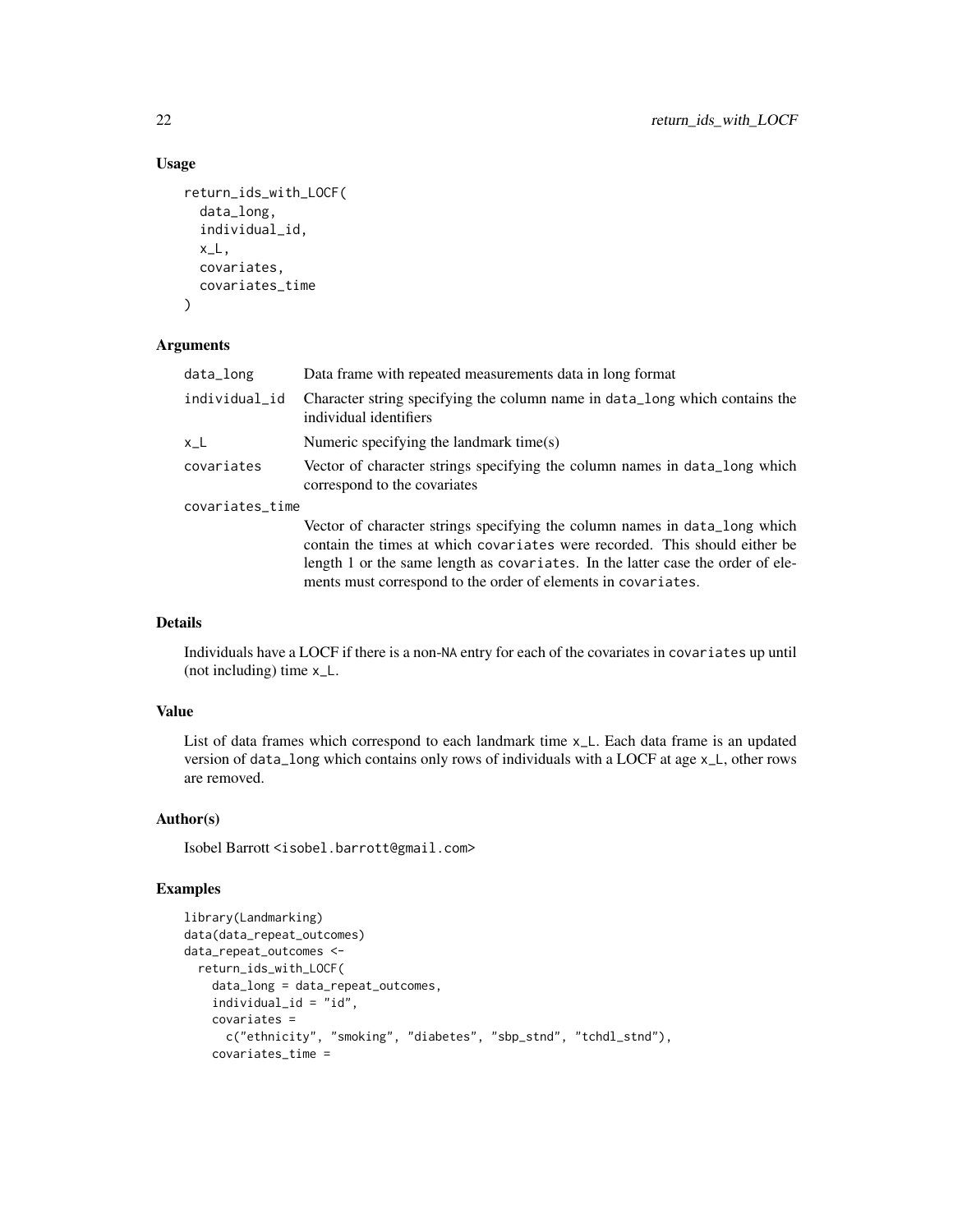#### Usage

```
return_ids_with_LOCF(
 data_long,
  individual_id,
 x_l,
  covariates,
  covariates_time
)
```
#### Arguments

| data_long       | Data frame with repeated measurements data in long format                                                                                                                                                                                   |
|-----------------|---------------------------------------------------------------------------------------------------------------------------------------------------------------------------------------------------------------------------------------------|
| individual_id   | Character string specifying the column name in data_long which contains the<br>individual identifiers                                                                                                                                       |
| x L             | Numeric specifying the landmark time(s)                                                                                                                                                                                                     |
| covariates      | Vector of character strings specifying the column names in data_long which<br>correspond to the covariates                                                                                                                                  |
| covariates_time |                                                                                                                                                                                                                                             |
|                 | Vector of character strings specifying the column names in data_long which<br>contain the times at which covariates were recorded. This should either be<br>length 1 or the same length as covariates. In the latter case the order of ele- |

Individuals have a LOCF if there is a non-NA entry for each of the covariates in covariates up until (not including) time x\_L.

ments must correspond to the order of elements in covariates.

#### Value

Details

List of data frames which correspond to each landmark time x\_L. Each data frame is an updated version of data\_long which contains only rows of individuals with a LOCF at age x\_L, other rows are removed.

#### Author(s)

Isobel Barrott <isobel.barrott@gmail.com>

#### Examples

```
library(Landmarking)
data(data_repeat_outcomes)
data_repeat_outcomes <-
 return_ids_with_LOCF(
   data_long = data_repeat_outcomes,
    individual_id = "id",
   covariates =
     c("ethnicity", "smoking", "diabetes", "sbp_stnd", "tchdl_stnd"),
   covariates_time =
```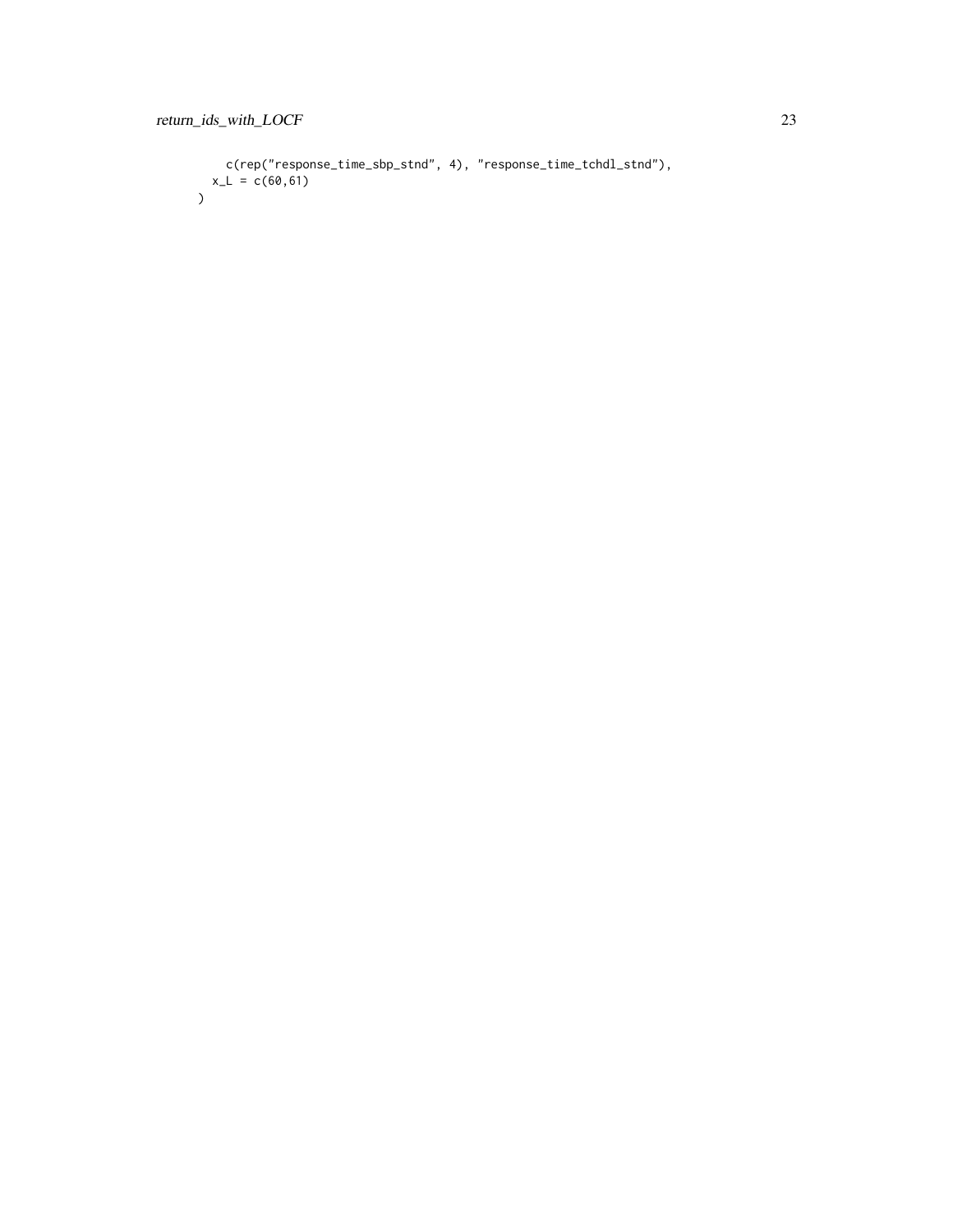```
c(rep("response_time_sbp_stnd", 4), "response_time_tchdl_stnd"),
  x_L = c(60, 61))
```